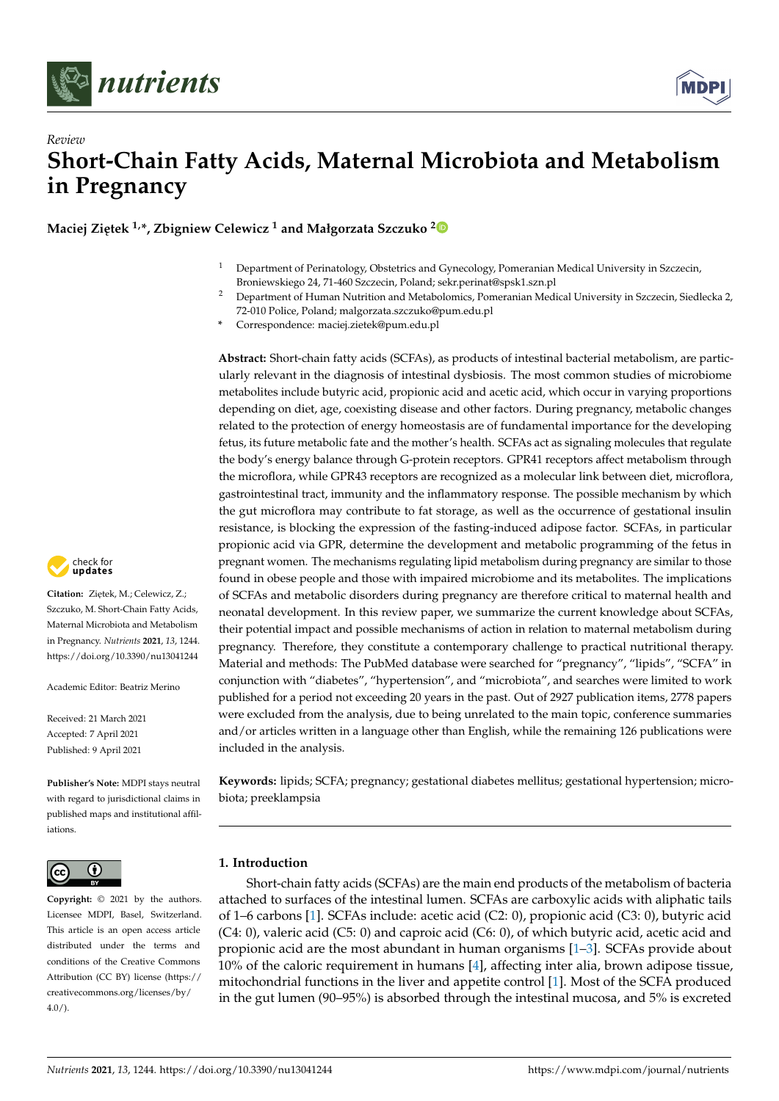



**Maciej Zietek<sup>1,\*</sup>, Zbigniew Celewicz<sup>1</sup> and Małgorzata Szczuko<sup>[2](https://orcid.org/0000-0001-9808-0624)</sup>** 

- <sup>1</sup> Department of Perinatology, Obstetrics and Gynecology, Pomeranian Medical University in Szczecin, Broniewskiego 24, 71-460 Szczecin, Poland; sekr.perinat@spsk1.szn.pl
- <sup>2</sup> Department of Human Nutrition and Metabolomics, Pomeranian Medical University in Szczecin, Siedlecka 2, 72-010 Police, Poland; malgorzata.szczuko@pum.edu.pl
- **\*** Correspondence: maciej.zietek@pum.edu.pl

**Abstract:** Short-chain fatty acids (SCFAs), as products of intestinal bacterial metabolism, are particularly relevant in the diagnosis of intestinal dysbiosis. The most common studies of microbiome metabolites include butyric acid, propionic acid and acetic acid, which occur in varying proportions depending on diet, age, coexisting disease and other factors. During pregnancy, metabolic changes related to the protection of energy homeostasis are of fundamental importance for the developing fetus, its future metabolic fate and the mother's health. SCFAs act as signaling molecules that regulate the body's energy balance through G-protein receptors. GPR41 receptors affect metabolism through the microflora, while GPR43 receptors are recognized as a molecular link between diet, microflora, gastrointestinal tract, immunity and the inflammatory response. The possible mechanism by which the gut microflora may contribute to fat storage, as well as the occurrence of gestational insulin resistance, is blocking the expression of the fasting-induced adipose factor. SCFAs, in particular propionic acid via GPR, determine the development and metabolic programming of the fetus in pregnant women. The mechanisms regulating lipid metabolism during pregnancy are similar to those found in obese people and those with impaired microbiome and its metabolites. The implications of SCFAs and metabolic disorders during pregnancy are therefore critical to maternal health and neonatal development. In this review paper, we summarize the current knowledge about SCFAs, their potential impact and possible mechanisms of action in relation to maternal metabolism during pregnancy. Therefore, they constitute a contemporary challenge to practical nutritional therapy. Material and methods: The PubMed database were searched for "pregnancy", "lipids", "SCFA" in conjunction with "diabetes", "hypertension", and "microbiota", and searches were limited to work published for a period not exceeding 20 years in the past. Out of 2927 publication items, 2778 papers were excluded from the analysis, due to being unrelated to the main topic, conference summaries and/or articles written in a language other than English, while the remaining 126 publications were included in the analysis.

**Keywords:** lipids; SCFA; pregnancy; gestational diabetes mellitus; gestational hypertension; microbiota; preeklampsia

# **1. Introduction**

Short-chain fatty acids (SCFAs) are the main end products of the metabolism of bacteria attached to surfaces of the intestinal lumen. SCFAs are carboxylic acids with aliphatic tails of 1–6 carbons [\[1\]](#page-14-0). SCFAs include: acetic acid (C2: 0), propionic acid (C3: 0), butyric acid (C4: 0), valeric acid (C5: 0) and caproic acid (C6: 0), of which butyric acid, acetic acid and propionic acid are the most abundant in human organisms  $[1-3]$  $[1-3]$ . SCFAs provide about 10% of the caloric requirement in humans [\[4\]](#page-14-2), affecting inter alia, brown adipose tissue, mitochondrial functions in the liver and appetite control [\[1\]](#page-14-0). Most of the SCFA produced in the gut lumen (90–95%) is absorbed through the intestinal mucosa, and 5% is excreted



Citation: Ziętek, M.; Celewicz, Z.; Szczuko, M. Short-Chain Fatty Acids, Maternal Microbiota and Metabolism in Pregnancy. *Nutrients* **2021**, *13*, 1244. <https://doi.org/10.3390/nu13041244>

Academic Editor: Beatriz Merino

Received: 21 March 2021 Accepted: 7 April 2021 Published: 9 April 2021

**Publisher's Note:** MDPI stays neutral with regard to jurisdictional claims in published maps and institutional affiliations.



**Copyright:** © 2021 by the authors. Licensee MDPI, Basel, Switzerland. This article is an open access article distributed under the terms and conditions of the Creative Commons Attribution (CC BY) license (https:/[/](https://creativecommons.org/licenses/by/4.0/) [creativecommons.org/licenses/by/](https://creativecommons.org/licenses/by/4.0/)  $4.0/$ ).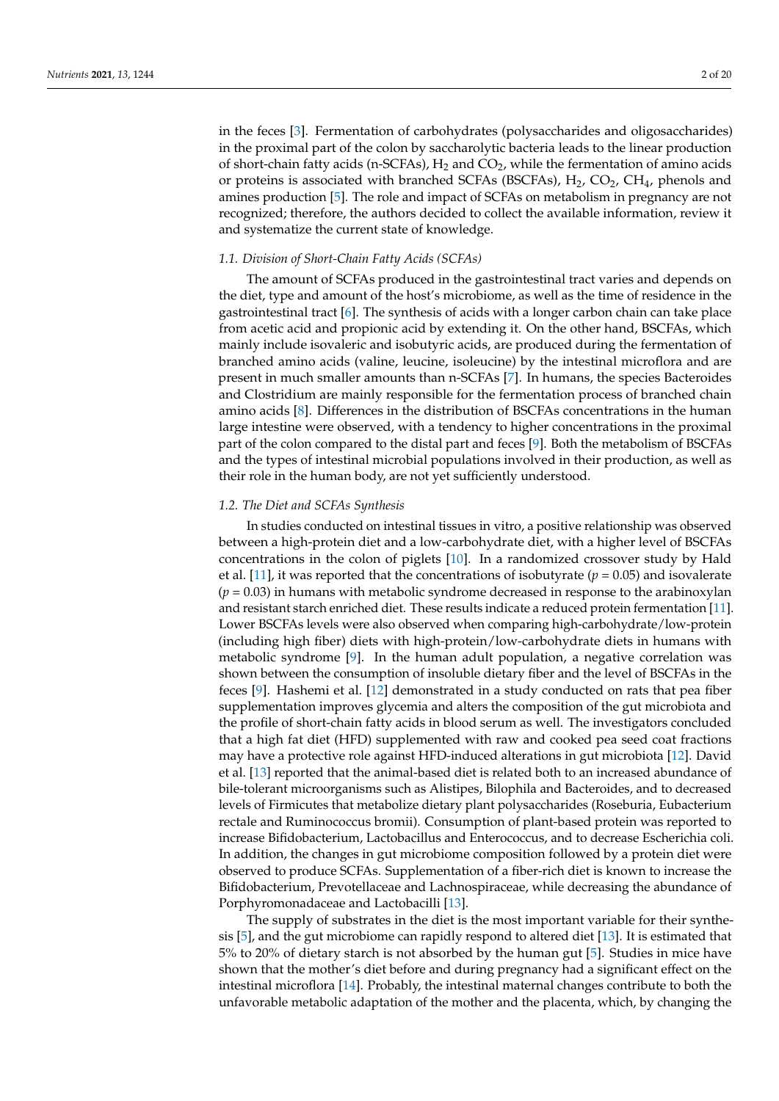in the feces [\[3\]](#page-14-1). Fermentation of carbohydrates (polysaccharides and oligosaccharides) in the proximal part of the colon by saccharolytic bacteria leads to the linear production of short-chain fatty acids (n-SCFAs),  $H_2$  and  $CO_2$ , while the fermentation of amino acids or proteins is associated with branched SCFAs (BSCFAs),  $H_2$ ,  $CO_2$ ,  $CH_4$ , phenols and amines production [\[5\]](#page-14-3). The role and impact of SCFAs on metabolism in pregnancy are not recognized; therefore, the authors decided to collect the available information, review it and systematize the current state of knowledge.

### *1.1. Division of Short-Chain Fatty Acids (SCFAs)*

The amount of SCFAs produced in the gastrointestinal tract varies and depends on the diet, type and amount of the host's microbiome, as well as the time of residence in the gastrointestinal tract [\[6\]](#page-14-4). The synthesis of acids with a longer carbon chain can take place from acetic acid and propionic acid by extending it. On the other hand, BSCFAs, which mainly include isovaleric and isobutyric acids, are produced during the fermentation of branched amino acids (valine, leucine, isoleucine) by the intestinal microflora and are present in much smaller amounts than n-SCFAs [\[7\]](#page-14-5). In humans, the species Bacteroides and Clostridium are mainly responsible for the fermentation process of branched chain amino acids [\[8\]](#page-14-6). Differences in the distribution of BSCFAs concentrations in the human large intestine were observed, with a tendency to higher concentrations in the proximal part of the colon compared to the distal part and feces [\[9\]](#page-14-7). Both the metabolism of BSCFAs and the types of intestinal microbial populations involved in their production, as well as their role in the human body, are not yet sufficiently understood.

## *1.2. The Diet and SCFAs Synthesis*

In studies conducted on intestinal tissues in vitro, a positive relationship was observed between a high-protein diet and a low-carbohydrate diet, with a higher level of BSCFAs concentrations in the colon of piglets [\[10\]](#page-14-8). In a randomized crossover study by Hald et al. [\[11\]](#page-14-9), it was reported that the concentrations of isobutyrate  $(p = 0.05)$  and isovalerate  $(p = 0.03)$  in humans with metabolic syndrome decreased in response to the arabinoxylan and resistant starch enriched diet. These results indicate a reduced protein fermentation [\[11\]](#page-14-9). Lower BSCFAs levels were also observed when comparing high-carbohydrate/low-protein (including high fiber) diets with high-protein/low-carbohydrate diets in humans with metabolic syndrome [\[9\]](#page-14-7). In the human adult population, a negative correlation was shown between the consumption of insoluble dietary fiber and the level of BSCFAs in the feces [\[9\]](#page-14-7). Hashemi et al. [\[12\]](#page-14-10) demonstrated in a study conducted on rats that pea fiber supplementation improves glycemia and alters the composition of the gut microbiota and the profile of short-chain fatty acids in blood serum as well. The investigators concluded that a high fat diet (HFD) supplemented with raw and cooked pea seed coat fractions may have a protective role against HFD-induced alterations in gut microbiota [\[12\]](#page-14-10). David et al. [\[13\]](#page-14-11) reported that the animal-based diet is related both to an increased abundance of bile-tolerant microorganisms such as Alistipes, Bilophila and Bacteroides, and to decreased levels of Firmicutes that metabolize dietary plant polysaccharides (Roseburia, Eubacterium rectale and Ruminococcus bromii). Consumption of plant-based protein was reported to increase Bifidobacterium, Lactobacillus and Enterococcus, and to decrease Escherichia coli. In addition, the changes in gut microbiome composition followed by a protein diet were observed to produce SCFAs. Supplementation of a fiber-rich diet is known to increase the Bifidobacterium, Prevotellaceae and Lachnospiraceae, while decreasing the abundance of Porphyromonadaceae and Lactobacilli [\[13\]](#page-14-11).

The supply of substrates in the diet is the most important variable for their synthesis [\[5\]](#page-14-3), and the gut microbiome can rapidly respond to altered diet [\[13\]](#page-14-11). It is estimated that 5% to 20% of dietary starch is not absorbed by the human gut [\[5\]](#page-14-3). Studies in mice have shown that the mother's diet before and during pregnancy had a significant effect on the intestinal microflora [\[14\]](#page-14-12). Probably, the intestinal maternal changes contribute to both the unfavorable metabolic adaptation of the mother and the placenta, which, by changing the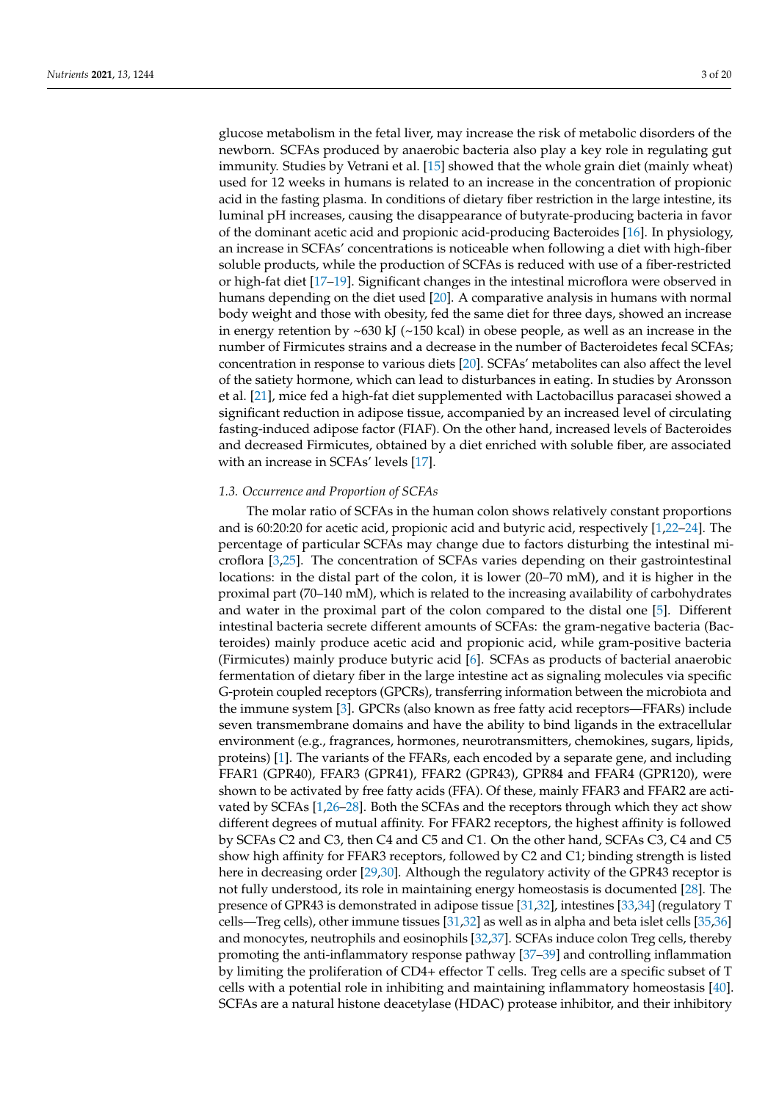glucose metabolism in the fetal liver, may increase the risk of metabolic disorders of the newborn. SCFAs produced by anaerobic bacteria also play a key role in regulating gut immunity. Studies by Vetrani et al. [\[15\]](#page-14-13) showed that the whole grain diet (mainly wheat) used for 12 weeks in humans is related to an increase in the concentration of propionic acid in the fasting plasma. In conditions of dietary fiber restriction in the large intestine, its luminal pH increases, causing the disappearance of butyrate-producing bacteria in favor of the dominant acetic acid and propionic acid-producing Bacteroides [\[16\]](#page-14-14). In physiology, an increase in SCFAs' concentrations is noticeable when following a diet with high-fiber soluble products, while the production of SCFAs is reduced with use of a fiber-restricted or high-fat diet [\[17](#page-14-15)[–19\]](#page-15-0). Significant changes in the intestinal microflora were observed in humans depending on the diet used [\[20\]](#page-15-1). A comparative analysis in humans with normal body weight and those with obesity, fed the same diet for three days, showed an increase in energy retention by  $\sim$  630 kJ ( $\sim$  150 kcal) in obese people, as well as an increase in the number of Firmicutes strains and a decrease in the number of Bacteroidetes fecal SCFAs; concentration in response to various diets [\[20\]](#page-15-1). SCFAs' metabolites can also affect the level of the satiety hormone, which can lead to disturbances in eating. In studies by Aronsson et al. [\[21\]](#page-15-2), mice fed a high-fat diet supplemented with Lactobacillus paracasei showed a significant reduction in adipose tissue, accompanied by an increased level of circulating fasting-induced adipose factor (FIAF). On the other hand, increased levels of Bacteroides and decreased Firmicutes, obtained by a diet enriched with soluble fiber, are associated with an increase in SCFAs' levels [\[17\]](#page-14-15).

# *1.3. Occurrence and Proportion of SCFAs*

The molar ratio of SCFAs in the human colon shows relatively constant proportions and is 60:20:20 for acetic acid, propionic acid and butyric acid, respectively [\[1](#page-14-0)[,22–](#page-15-3)[24\]](#page-15-4). The percentage of particular SCFAs may change due to factors disturbing the intestinal microflora [\[3,](#page-14-1)[25\]](#page-15-5). The concentration of SCFAs varies depending on their gastrointestinal locations: in the distal part of the colon, it is lower (20–70 mM), and it is higher in the proximal part (70–140 mM), which is related to the increasing availability of carbohydrates and water in the proximal part of the colon compared to the distal one [\[5\]](#page-14-3). Different intestinal bacteria secrete different amounts of SCFAs: the gram-negative bacteria (Bacteroides) mainly produce acetic acid and propionic acid, while gram-positive bacteria (Firmicutes) mainly produce butyric acid [\[6\]](#page-14-4). SCFAs as products of bacterial anaerobic fermentation of dietary fiber in the large intestine act as signaling molecules via specific G-protein coupled receptors (GPCRs), transferring information between the microbiota and the immune system [\[3\]](#page-14-1). GPCRs (also known as free fatty acid receptors—FFARs) include seven transmembrane domains and have the ability to bind ligands in the extracellular environment (e.g., fragrances, hormones, neurotransmitters, chemokines, sugars, lipids, proteins) [\[1\]](#page-14-0). The variants of the FFARs, each encoded by a separate gene, and including FFAR1 (GPR40), FFAR3 (GPR41), FFAR2 (GPR43), GPR84 and FFAR4 (GPR120), were shown to be activated by free fatty acids (FFA). Of these, mainly FFAR3 and FFAR2 are activated by SCFAs [\[1,](#page-14-0)[26](#page-15-6)[–28\]](#page-15-7). Both the SCFAs and the receptors through which they act show different degrees of mutual affinity. For FFAR2 receptors, the highest affinity is followed by SCFAs C2 and C3, then C4 and C5 and C1. On the other hand, SCFAs C3, C4 and C5 show high affinity for FFAR3 receptors, followed by C2 and C1; binding strength is listed here in decreasing order [\[29,](#page-15-8)[30\]](#page-15-9). Although the regulatory activity of the GPR43 receptor is not fully understood, its role in maintaining energy homeostasis is documented [\[28\]](#page-15-7). The presence of GPR43 is demonstrated in adipose tissue [\[31,](#page-15-10)[32\]](#page-15-11), intestines [\[33](#page-15-12)[,34\]](#page-15-13) (regulatory T cells—Treg cells), other immune tissues [\[31](#page-15-10)[,32\]](#page-15-11) as well as in alpha and beta islet cells [\[35,](#page-15-14)[36\]](#page-15-15) and monocytes, neutrophils and eosinophils [\[32,](#page-15-11)[37\]](#page-15-16). SCFAs induce colon Treg cells, thereby promoting the anti-inflammatory response pathway [\[37–](#page-15-16)[39\]](#page-15-17) and controlling inflammation by limiting the proliferation of CD4+ effector T cells. Treg cells are a specific subset of T cells with a potential role in inhibiting and maintaining inflammatory homeostasis [\[40\]](#page-15-18). SCFAs are a natural histone deacetylase (HDAC) protease inhibitor, and their inhibitory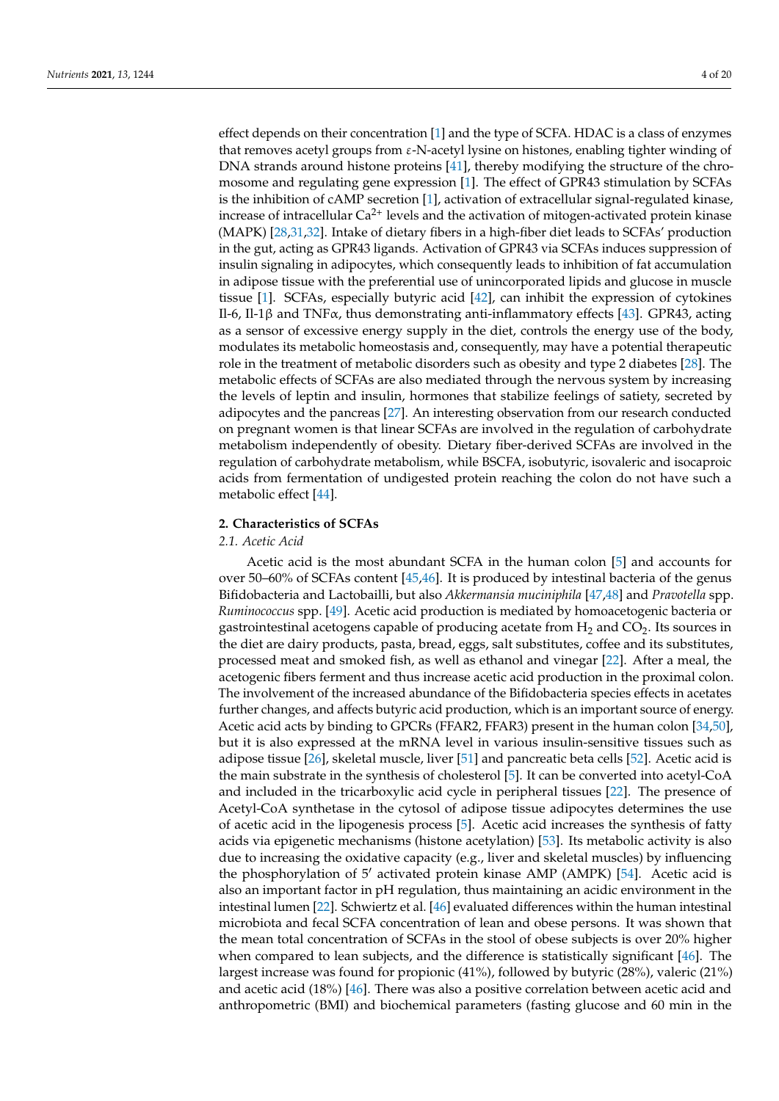effect depends on their concentration [\[1\]](#page-14-0) and the type of SCFA. HDAC is a class of enzymes that removes acetyl groups from  $\varepsilon$ -N-acetyl lysine on histones, enabling tighter winding of DNA strands around histone proteins [\[41\]](#page-15-19), thereby modifying the structure of the chromosome and regulating gene expression [\[1\]](#page-14-0). The effect of GPR43 stimulation by SCFAs is the inhibition of cAMP secretion [\[1\]](#page-14-0), activation of extracellular signal-regulated kinase, increase of intracellular  $Ca^{2+}$  levels and the activation of mitogen-activated protein kinase (MAPK) [\[28,](#page-15-7)[31,](#page-15-10)[32\]](#page-15-11). Intake of dietary fibers in a high-fiber diet leads to SCFAs' production in the gut, acting as GPR43 ligands. Activation of GPR43 via SCFAs induces suppression of insulin signaling in adipocytes, which consequently leads to inhibition of fat accumulation in adipose tissue with the preferential use of unincorporated lipids and glucose in muscle tissue [\[1\]](#page-14-0). SCFAs, especially butyric acid [\[42\]](#page-15-20), can inhibit the expression of cytokines Il-6, Il-1β and TNFα, thus demonstrating anti-inflammatory effects [\[43\]](#page-16-0). GPR43, acting as a sensor of excessive energy supply in the diet, controls the energy use of the body, modulates its metabolic homeostasis and, consequently, may have a potential therapeutic role in the treatment of metabolic disorders such as obesity and type 2 diabetes [\[28\]](#page-15-7). The metabolic effects of SCFAs are also mediated through the nervous system by increasing the levels of leptin and insulin, hormones that stabilize feelings of satiety, secreted by adipocytes and the pancreas [\[27\]](#page-15-21). An interesting observation from our research conducted on pregnant women is that linear SCFAs are involved in the regulation of carbohydrate metabolism independently of obesity. Dietary fiber-derived SCFAs are involved in the regulation of carbohydrate metabolism, while BSCFA, isobutyric, isovaleric and isocaproic acids from fermentation of undigested protein reaching the colon do not have such a metabolic effect [\[44\]](#page-16-1).

# **2. Characteristics of SCFAs**

# *2.1. Acetic Acid*

Acetic acid is the most abundant SCFA in the human colon [\[5\]](#page-14-3) and accounts for over 50–60% of SCFAs content [\[45,](#page-16-2)[46\]](#page-16-3). It is produced by intestinal bacteria of the genus Bifidobacteria and Lactobailli, but also *Akkermansia muciniphila* [\[47,](#page-16-4)[48\]](#page-16-5) and *Pravotella* spp. *Ruminococcus* spp. [\[49\]](#page-16-6). Acetic acid production is mediated by homoacetogenic bacteria or gastrointestinal acetogens capable of producing acetate from  $H_2$  and  $CO_2$ . Its sources in the diet are dairy products, pasta, bread, eggs, salt substitutes, coffee and its substitutes, processed meat and smoked fish, as well as ethanol and vinegar [\[22\]](#page-15-3). After a meal, the acetogenic fibers ferment and thus increase acetic acid production in the proximal colon. The involvement of the increased abundance of the Bifidobacteria species effects in acetates further changes, and affects butyric acid production, which is an important source of energy. Acetic acid acts by binding to GPCRs (FFAR2, FFAR3) present in the human colon [\[34](#page-15-13)[,50\]](#page-16-7), but it is also expressed at the mRNA level in various insulin-sensitive tissues such as adipose tissue [\[26\]](#page-15-6), skeletal muscle, liver [\[51\]](#page-16-8) and pancreatic beta cells [\[52\]](#page-16-9). Acetic acid is the main substrate in the synthesis of cholesterol [\[5\]](#page-14-3). It can be converted into acetyl-CoA and included in the tricarboxylic acid cycle in peripheral tissues [\[22\]](#page-15-3). The presence of Acetyl-CoA synthetase in the cytosol of adipose tissue adipocytes determines the use of acetic acid in the lipogenesis process [\[5\]](#page-14-3). Acetic acid increases the synthesis of fatty acids via epigenetic mechanisms (histone acetylation) [\[53\]](#page-16-10). Its metabolic activity is also due to increasing the oxidative capacity (e.g., liver and skeletal muscles) by influencing the phosphorylation of  $5'$  activated protein kinase AMP (AMPK) [\[54\]](#page-16-11). Acetic acid is also an important factor in pH regulation, thus maintaining an acidic environment in the intestinal lumen [\[22\]](#page-15-3). Schwiertz et al. [\[46\]](#page-16-3) evaluated differences within the human intestinal microbiota and fecal SCFA concentration of lean and obese persons. It was shown that the mean total concentration of SCFAs in the stool of obese subjects is over 20% higher when compared to lean subjects, and the difference is statistically significant [\[46\]](#page-16-3). The largest increase was found for propionic (41%), followed by butyric (28%), valeric (21%) and acetic acid (18%) [\[46\]](#page-16-3). There was also a positive correlation between acetic acid and anthropometric (BMI) and biochemical parameters (fasting glucose and 60 min in the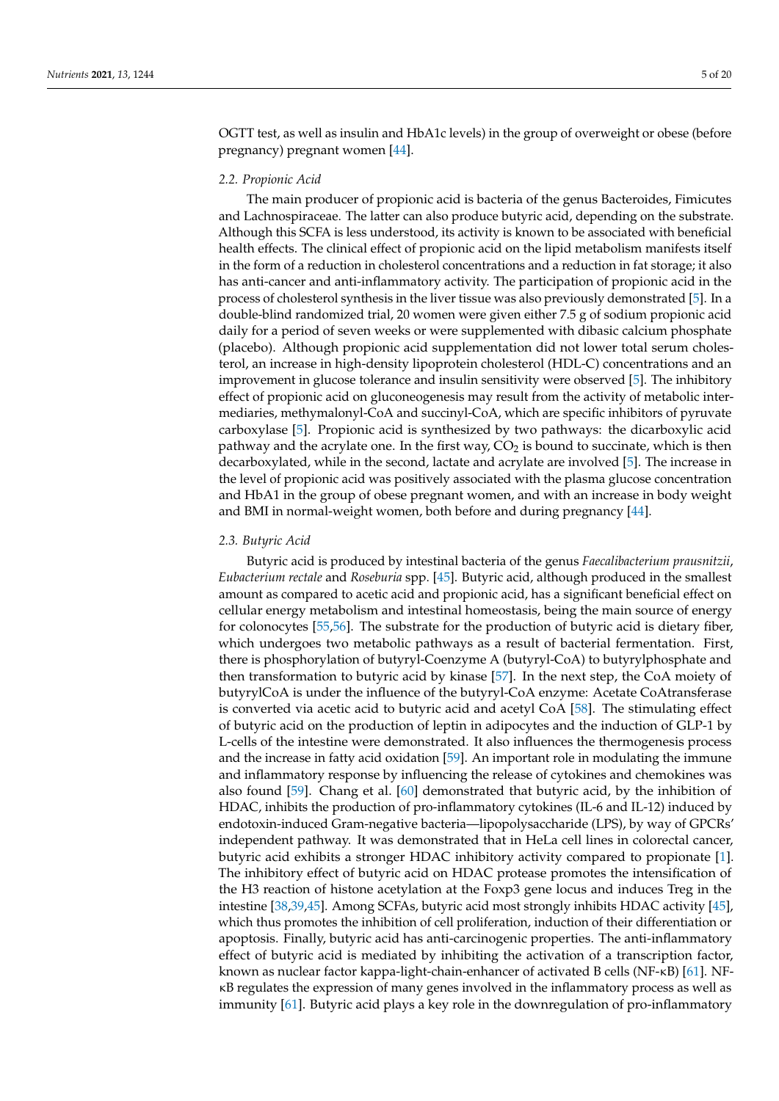OGTT test, as well as insulin and HbA1c levels) in the group of overweight or obese (before pregnancy) pregnant women [\[44\]](#page-16-1).

# *2.2. Propionic Acid*

The main producer of propionic acid is bacteria of the genus Bacteroides, Fimicutes and Lachnospiraceae. The latter can also produce butyric acid, depending on the substrate. Although this SCFA is less understood, its activity is known to be associated with beneficial health effects. The clinical effect of propionic acid on the lipid metabolism manifests itself in the form of a reduction in cholesterol concentrations and a reduction in fat storage; it also has anti-cancer and anti-inflammatory activity. The participation of propionic acid in the process of cholesterol synthesis in the liver tissue was also previously demonstrated [\[5\]](#page-14-3). In a double-blind randomized trial, 20 women were given either 7.5 g of sodium propionic acid daily for a period of seven weeks or were supplemented with dibasic calcium phosphate (placebo). Although propionic acid supplementation did not lower total serum cholesterol, an increase in high-density lipoprotein cholesterol (HDL-C) concentrations and an improvement in glucose tolerance and insulin sensitivity were observed [\[5\]](#page-14-3). The inhibitory effect of propionic acid on gluconeogenesis may result from the activity of metabolic intermediaries, methymalonyl-CoA and succinyl-CoA, which are specific inhibitors of pyruvate carboxylase [\[5\]](#page-14-3). Propionic acid is synthesized by two pathways: the dicarboxylic acid pathway and the acrylate one. In the first way,  $CO<sub>2</sub>$  is bound to succinate, which is then decarboxylated, while in the second, lactate and acrylate are involved [\[5\]](#page-14-3). The increase in the level of propionic acid was positively associated with the plasma glucose concentration and HbA1 in the group of obese pregnant women, and with an increase in body weight and BMI in normal-weight women, both before and during pregnancy [\[44\]](#page-16-1).

## *2.3. Butyric Acid*

Butyric acid is produced by intestinal bacteria of the genus *Faecalibacterium prausnitzii*, *Eubacterium rectale* and *Roseburia* spp. [\[45\]](#page-16-2). Butyric acid, although produced in the smallest amount as compared to acetic acid and propionic acid, has a significant beneficial effect on cellular energy metabolism and intestinal homeostasis, being the main source of energy for colonocytes [\[55,](#page-16-12)[56\]](#page-16-13). The substrate for the production of butyric acid is dietary fiber, which undergoes two metabolic pathways as a result of bacterial fermentation. First, there is phosphorylation of butyryl-Coenzyme A (butyryl-CoA) to butyrylphosphate and then transformation to butyric acid by kinase [\[57\]](#page-16-14). In the next step, the CoA moiety of butyrylCoA is under the influence of the butyryl-CoA enzyme: Acetate CoAtransferase is converted via acetic acid to butyric acid and acetyl CoA [\[58\]](#page-16-15). The stimulating effect of butyric acid on the production of leptin in adipocytes and the induction of GLP-1 by L-cells of the intestine were demonstrated. It also influences the thermogenesis process and the increase in fatty acid oxidation [\[59\]](#page-16-16). An important role in modulating the immune and inflammatory response by influencing the release of cytokines and chemokines was also found [\[59\]](#page-16-16). Chang et al. [\[60\]](#page-16-17) demonstrated that butyric acid, by the inhibition of HDAC, inhibits the production of pro-inflammatory cytokines (IL-6 and IL-12) induced by endotoxin-induced Gram-negative bacteria—lipopolysaccharide (LPS), by way of GPCRs' independent pathway. It was demonstrated that in HeLa cell lines in colorectal cancer, butyric acid exhibits a stronger HDAC inhibitory activity compared to propionate [\[1\]](#page-14-0). The inhibitory effect of butyric acid on HDAC protease promotes the intensification of the H3 reaction of histone acetylation at the Foxp3 gene locus and induces Treg in the intestine [\[38](#page-15-22)[,39](#page-15-17)[,45\]](#page-16-2). Among SCFAs, butyric acid most strongly inhibits HDAC activity [\[45\]](#page-16-2), which thus promotes the inhibition of cell proliferation, induction of their differentiation or apoptosis. Finally, butyric acid has anti-carcinogenic properties. The anti-inflammatory effect of butyric acid is mediated by inhibiting the activation of a transcription factor, known as nuclear factor kappa-light-chain-enhancer of activated B cells (NF-κB) [\[61\]](#page-16-18). NFκB regulates the expression of many genes involved in the inflammatory process as well as immunity [\[61\]](#page-16-18). Butyric acid plays a key role in the downregulation of pro-inflammatory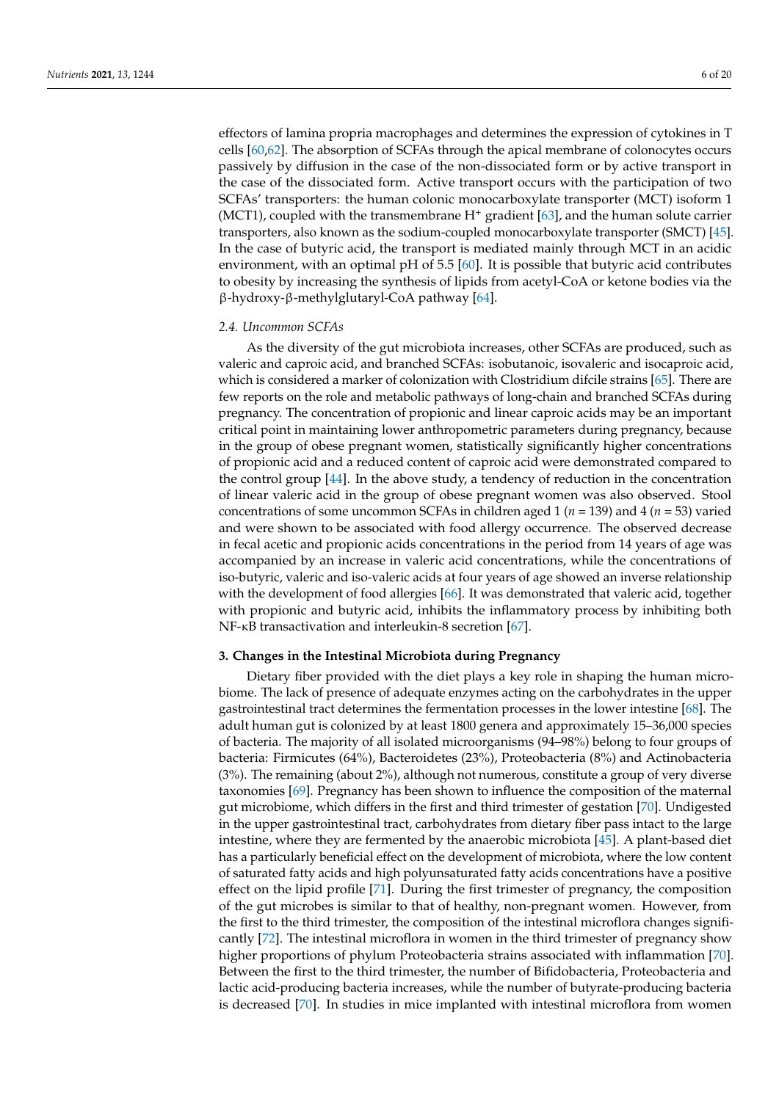effectors of lamina propria macrophages and determines the expression of cytokines in T cells [\[60,](#page-16-17)[62\]](#page-16-19). The absorption of SCFAs through the apical membrane of colonocytes occurs passively by diffusion in the case of the non-dissociated form or by active transport in the case of the dissociated form. Active transport occurs with the participation of two SCFAs' transporters: the human colonic monocarboxylate transporter (MCT) isoform 1 (MCT1), coupled with the transmembrane  $H^+$  gradient [\[63\]](#page-16-20), and the human solute carrier transporters, also known as the sodium-coupled monocarboxylate transporter (SMCT) [\[45\]](#page-16-2). In the case of butyric acid, the transport is mediated mainly through MCT in an acidic environment, with an optimal pH of 5.5 [\[60\]](#page-16-17). It is possible that butyric acid contributes to obesity by increasing the synthesis of lipids from acetyl-CoA or ketone bodies via the β-hydroxy-β-methylglutaryl-CoA pathway [\[64\]](#page-16-21).

#### *2.4. Uncommon SCFAs*

As the diversity of the gut microbiota increases, other SCFAs are produced, such as valeric and caproic acid, and branched SCFAs: isobutanoic, isovaleric and isocaproic acid, which is considered a marker of colonization with Clostridium difcile strains [\[65\]](#page-16-22). There are few reports on the role and metabolic pathways of long-chain and branched SCFAs during pregnancy. The concentration of propionic and linear caproic acids may be an important critical point in maintaining lower anthropometric parameters during pregnancy, because in the group of obese pregnant women, statistically significantly higher concentrations of propionic acid and a reduced content of caproic acid were demonstrated compared to the control group [\[44\]](#page-16-1). In the above study, a tendency of reduction in the concentration of linear valeric acid in the group of obese pregnant women was also observed. Stool concentrations of some uncommon SCFAs in children aged 1 (*n* = 139) and 4 (*n* = 53) varied and were shown to be associated with food allergy occurrence. The observed decrease in fecal acetic and propionic acids concentrations in the period from 14 years of age was accompanied by an increase in valeric acid concentrations, while the concentrations of iso-butyric, valeric and iso-valeric acids at four years of age showed an inverse relationship with the development of food allergies [\[66\]](#page-16-23). It was demonstrated that valeric acid, together with propionic and butyric acid, inhibits the inflammatory process by inhibiting both NF-κB transactivation and interleukin-8 secretion [\[67\]](#page-16-24).

#### **3. Changes in the Intestinal Microbiota during Pregnancy**

Dietary fiber provided with the diet plays a key role in shaping the human microbiome. The lack of presence of adequate enzymes acting on the carbohydrates in the upper gastrointestinal tract determines the fermentation processes in the lower intestine [\[68\]](#page-17-0). The adult human gut is colonized by at least 1800 genera and approximately 15–36,000 species of bacteria. The majority of all isolated microorganisms (94–98%) belong to four groups of bacteria: Firmicutes (64%), Bacteroidetes (23%), Proteobacteria (8%) and Actinobacteria (3%). The remaining (about 2%), although not numerous, constitute a group of very diverse taxonomies [\[69\]](#page-17-1). Pregnancy has been shown to influence the composition of the maternal gut microbiome, which differs in the first and third trimester of gestation [\[70\]](#page-17-2). Undigested in the upper gastrointestinal tract, carbohydrates from dietary fiber pass intact to the large intestine, where they are fermented by the anaerobic microbiota [\[45\]](#page-16-2). A plant-based diet has a particularly beneficial effect on the development of microbiota, where the low content of saturated fatty acids and high polyunsaturated fatty acids concentrations have a positive effect on the lipid profile [\[71\]](#page-17-3). During the first trimester of pregnancy, the composition of the gut microbes is similar to that of healthy, non-pregnant women. However, from the first to the third trimester, the composition of the intestinal microflora changes significantly [\[72\]](#page-17-4). The intestinal microflora in women in the third trimester of pregnancy show higher proportions of phylum Proteobacteria strains associated with inflammation [\[70\]](#page-17-2). Between the first to the third trimester, the number of Bifidobacteria, Proteobacteria and lactic acid-producing bacteria increases, while the number of butyrate-producing bacteria is decreased [\[70\]](#page-17-2). In studies in mice implanted with intestinal microflora from women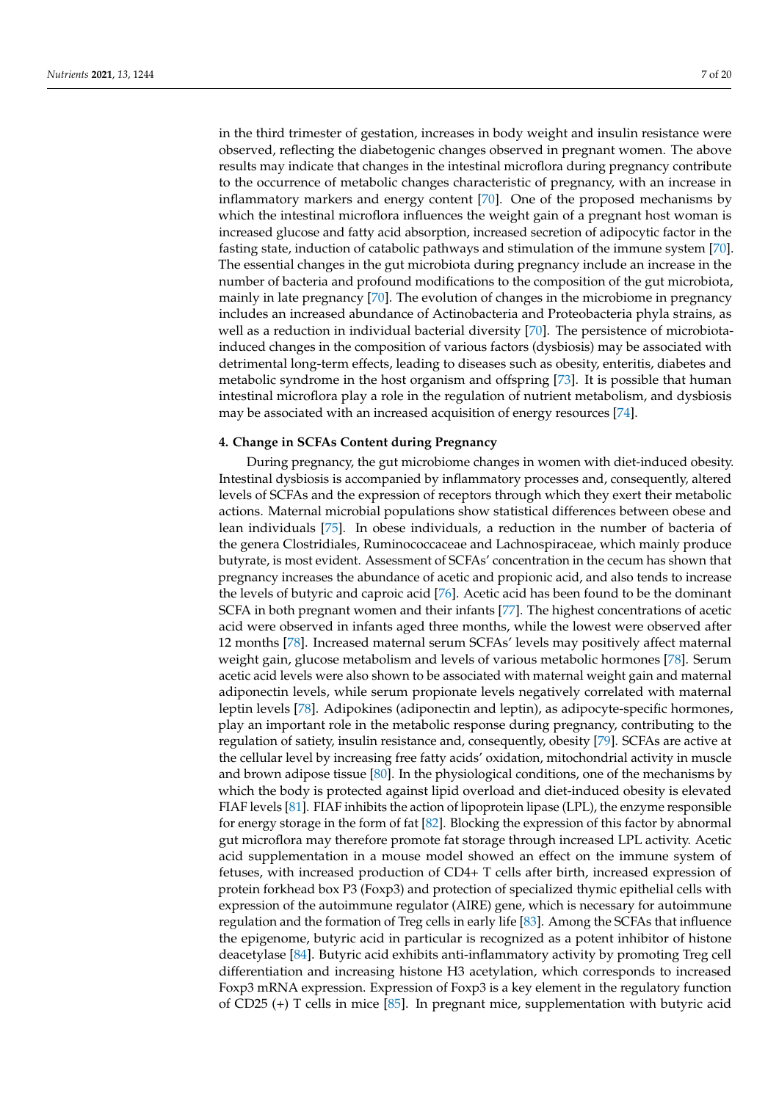in the third trimester of gestation, increases in body weight and insulin resistance were observed, reflecting the diabetogenic changes observed in pregnant women. The above results may indicate that changes in the intestinal microflora during pregnancy contribute to the occurrence of metabolic changes characteristic of pregnancy, with an increase in inflammatory markers and energy content [\[70\]](#page-17-2). One of the proposed mechanisms by which the intestinal microflora influences the weight gain of a pregnant host woman is increased glucose and fatty acid absorption, increased secretion of adipocytic factor in the fasting state, induction of catabolic pathways and stimulation of the immune system [\[70\]](#page-17-2). The essential changes in the gut microbiota during pregnancy include an increase in the number of bacteria and profound modifications to the composition of the gut microbiota, mainly in late pregnancy [\[70\]](#page-17-2). The evolution of changes in the microbiome in pregnancy includes an increased abundance of Actinobacteria and Proteobacteria phyla strains, as well as a reduction in individual bacterial diversity [\[70\]](#page-17-2). The persistence of microbiotainduced changes in the composition of various factors (dysbiosis) may be associated with detrimental long-term effects, leading to diseases such as obesity, enteritis, diabetes and metabolic syndrome in the host organism and offspring [\[73\]](#page-17-5). It is possible that human intestinal microflora play a role in the regulation of nutrient metabolism, and dysbiosis may be associated with an increased acquisition of energy resources [\[74\]](#page-17-6).

### **4. Change in SCFAs Content during Pregnancy**

During pregnancy, the gut microbiome changes in women with diet-induced obesity. Intestinal dysbiosis is accompanied by inflammatory processes and, consequently, altered levels of SCFAs and the expression of receptors through which they exert their metabolic actions. Maternal microbial populations show statistical differences between obese and lean individuals [\[75\]](#page-17-7). In obese individuals, a reduction in the number of bacteria of the genera Clostridiales, Ruminococcaceae and Lachnospiraceae, which mainly produce butyrate, is most evident. Assessment of SCFAs' concentration in the cecum has shown that pregnancy increases the abundance of acetic and propionic acid, and also tends to increase the levels of butyric and caproic acid [\[76\]](#page-17-8). Acetic acid has been found to be the dominant SCFA in both pregnant women and their infants [\[77\]](#page-17-9). The highest concentrations of acetic acid were observed in infants aged three months, while the lowest were observed after 12 months [\[78\]](#page-17-10). Increased maternal serum SCFAs' levels may positively affect maternal weight gain, glucose metabolism and levels of various metabolic hormones [\[78\]](#page-17-10). Serum acetic acid levels were also shown to be associated with maternal weight gain and maternal adiponectin levels, while serum propionate levels negatively correlated with maternal leptin levels [\[78\]](#page-17-10). Adipokines (adiponectin and leptin), as adipocyte-specific hormones, play an important role in the metabolic response during pregnancy, contributing to the regulation of satiety, insulin resistance and, consequently, obesity [\[79\]](#page-17-11). SCFAs are active at the cellular level by increasing free fatty acids' oxidation, mitochondrial activity in muscle and brown adipose tissue [\[80\]](#page-17-12). In the physiological conditions, one of the mechanisms by which the body is protected against lipid overload and diet-induced obesity is elevated FIAF levels [\[81\]](#page-17-13). FIAF inhibits the action of lipoprotein lipase (LPL), the enzyme responsible for energy storage in the form of fat [\[82\]](#page-17-14). Blocking the expression of this factor by abnormal gut microflora may therefore promote fat storage through increased LPL activity. Acetic acid supplementation in a mouse model showed an effect on the immune system of fetuses, with increased production of CD4+ T cells after birth, increased expression of protein forkhead box P3 (Foxp3) and protection of specialized thymic epithelial cells with expression of the autoimmune regulator (AIRE) gene, which is necessary for autoimmune regulation and the formation of Treg cells in early life [\[83\]](#page-17-15). Among the SCFAs that influence the epigenome, butyric acid in particular is recognized as a potent inhibitor of histone deacetylase [\[84\]](#page-17-16). Butyric acid exhibits anti-inflammatory activity by promoting Treg cell differentiation and increasing histone H3 acetylation, which corresponds to increased Foxp3 mRNA expression. Expression of Foxp3 is a key element in the regulatory function of CD25 (+) T cells in mice [\[85\]](#page-17-17). In pregnant mice, supplementation with butyric acid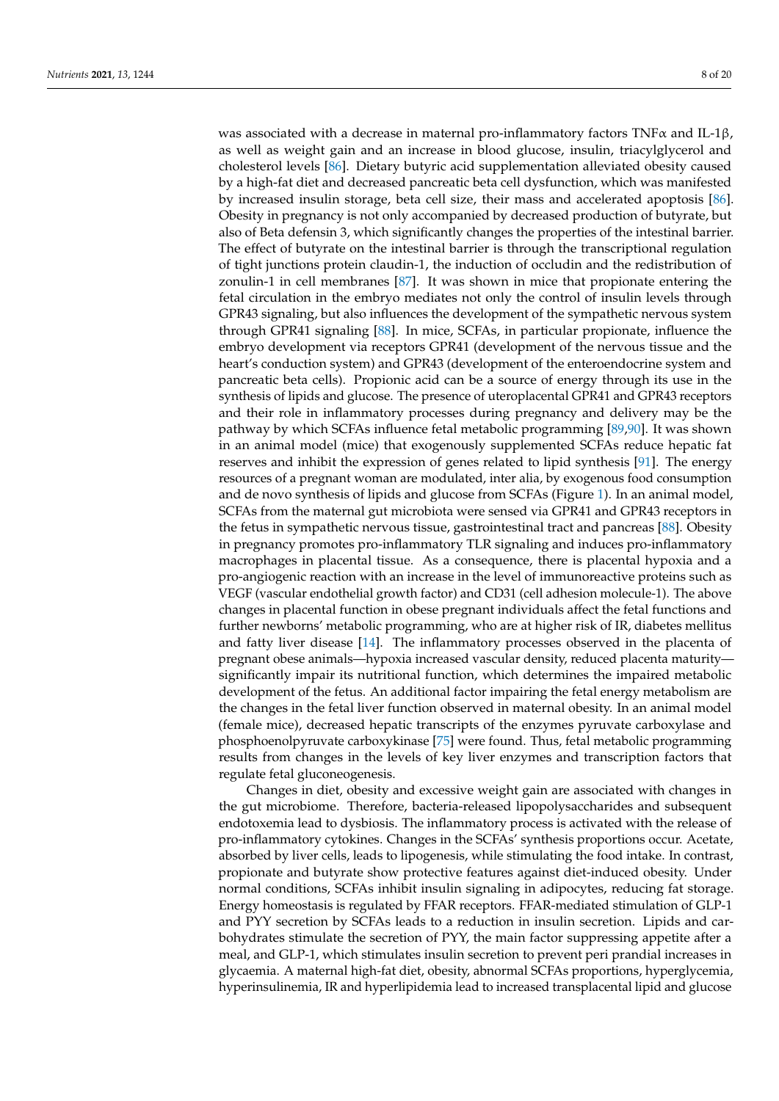was associated with a decrease in maternal pro-inflammatory factors TNF $\alpha$  and IL-1 $\beta$ , as well as weight gain and an increase in blood glucose, insulin, triacylglycerol and cholesterol levels [\[86\]](#page-17-18). Dietary butyric acid supplementation alleviated obesity caused by a high-fat diet and decreased pancreatic beta cell dysfunction, which was manifested by increased insulin storage, beta cell size, their mass and accelerated apoptosis [\[86\]](#page-17-18). Obesity in pregnancy is not only accompanied by decreased production of butyrate, but also of Beta defensin 3, which significantly changes the properties of the intestinal barrier. The effect of butyrate on the intestinal barrier is through the transcriptional regulation of tight junctions protein claudin-1, the induction of occludin and the redistribution of zonulin-1 in cell membranes [\[87\]](#page-17-19). It was shown in mice that propionate entering the fetal circulation in the embryo mediates not only the control of insulin levels through GPR43 signaling, but also influences the development of the sympathetic nervous system through GPR41 signaling [\[88\]](#page-17-20). In mice, SCFAs, in particular propionate, influence the embryo development via receptors GPR41 (development of the nervous tissue and the heart's conduction system) and GPR43 (development of the enteroendocrine system and pancreatic beta cells). Propionic acid can be a source of energy through its use in the synthesis of lipids and glucose. The presence of uteroplacental GPR41 and GPR43 receptors and their role in inflammatory processes during pregnancy and delivery may be the pathway by which SCFAs influence fetal metabolic programming [\[89](#page-17-21)[,90\]](#page-17-22). It was shown in an animal model (mice) that exogenously supplemented SCFAs reduce hepatic fat reserves and inhibit the expression of genes related to lipid synthesis [\[91\]](#page-17-23). The energy resources of a pregnant woman are modulated, inter alia, by exogenous food consumption and de novo synthesis of lipids and glucose from SCFAs (Figure [1\)](#page-8-0). In an animal model, SCFAs from the maternal gut microbiota were sensed via GPR41 and GPR43 receptors in the fetus in sympathetic nervous tissue, gastrointestinal tract and pancreas [\[88\]](#page-17-20). Obesity in pregnancy promotes pro-inflammatory TLR signaling and induces pro-inflammatory macrophages in placental tissue. As a consequence, there is placental hypoxia and a pro-angiogenic reaction with an increase in the level of immunoreactive proteins such as VEGF (vascular endothelial growth factor) and CD31 (cell adhesion molecule-1). The above changes in placental function in obese pregnant individuals affect the fetal functions and further newborns' metabolic programming, who are at higher risk of IR, diabetes mellitus and fatty liver disease [\[14\]](#page-14-12). The inflammatory processes observed in the placenta of pregnant obese animals—hypoxia increased vascular density, reduced placenta maturity significantly impair its nutritional function, which determines the impaired metabolic development of the fetus. An additional factor impairing the fetal energy metabolism are the changes in the fetal liver function observed in maternal obesity. In an animal model (female mice), decreased hepatic transcripts of the enzymes pyruvate carboxylase and phosphoenolpyruvate carboxykinase [\[75\]](#page-17-7) were found. Thus, fetal metabolic programming results from changes in the levels of key liver enzymes and transcription factors that regulate fetal gluconeogenesis.

Changes in diet, obesity and excessive weight gain are associated with changes in the gut microbiome. Therefore, bacteria-released lipopolysaccharides and subsequent endotoxemia lead to dysbiosis. The inflammatory process is activated with the release of pro-inflammatory cytokines. Changes in the SCFAs' synthesis proportions occur. Acetate, absorbed by liver cells, leads to lipogenesis, while stimulating the food intake. In contrast, propionate and butyrate show protective features against diet-induced obesity. Under normal conditions, SCFAs inhibit insulin signaling in adipocytes, reducing fat storage. Energy homeostasis is regulated by FFAR receptors. FFAR-mediated stimulation of GLP-1 and PYY secretion by SCFAs leads to a reduction in insulin secretion. Lipids and carbohydrates stimulate the secretion of PYY, the main factor suppressing appetite after a meal, and GLP-1, which stimulates insulin secretion to prevent peri prandial increases in glycaemia. A maternal high-fat diet, obesity, abnormal SCFAs proportions, hyperglycemia, hyperinsulinemia, IR and hyperlipidemia lead to increased transplacental lipid and glucose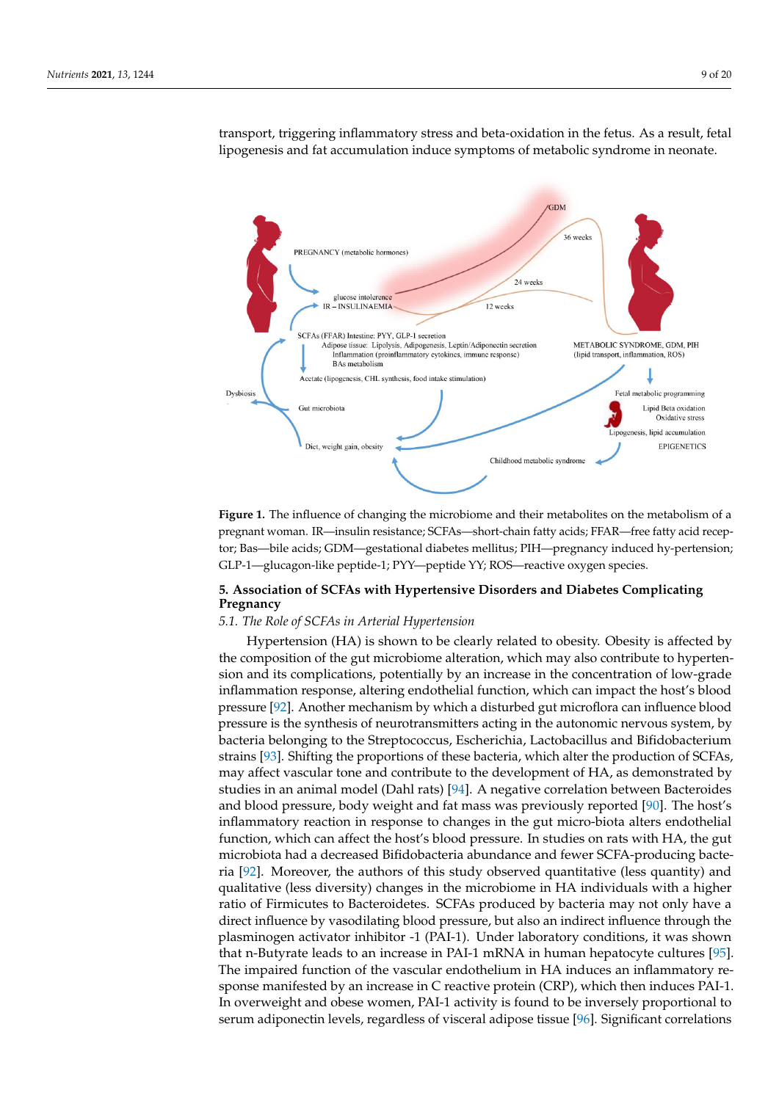<span id="page-8-0"></span>

transport, triggering inflammatory stress and beta-oxidation in the fetus. As a result, fetal lipogenesis and fat accumulation induce symptoms of metabolic syndrome in neonate.

tor; Bas—bile acids; GDM—gestational diabetes mellitus; PIH—pregnancy induced hy-pertension; GLP-1—glucagon-like peptide-1; PYY—peptide YY; ROS—reactive oxygen species. **Figure 1.** The influence of changing the microbiome and their metabolites on the metabolism of a pregnant woman. IR—insulin resistance; SCFAs—short-chain fatty acids; FFAR—free fatty acid recep-

#### diabetes mellitus; PIH—pregnancy induced hy-pertension; GLP-1—glucagon-like peptide-1; PYY—peptide YY; ROS— 5. Association of SCFAs with Hypertensive Disorders and Diabetes Complicating **Pregnancy**

# Changes in diet, obesity and excessive weight gain are associated with changes in the *5.1. The Role of SCFAs in Arterial Hypertension*

Hypertension (HA) is shown to be clearly related to obesity. Obesity is affected by the composition of the gut microbiome alteration, which may also contribute to hypertension and its complications, potentially by an increase in the concentration of low-grade inflammation response, altering endothelial function, which can impact the host's blood intake. In contrast, in contrast, in contrast, in contrast, in contrast, in contrast, in contrast, in contrast, in contrast, in contra pressure [\[92\]](#page-18-0). Another mechanism by which a disturbed gut microflora can influence blood pressure is the synthesis of hethormal similars ading in the autonomic hervolds system, by<br>bacteria belonging to the Streptococcus, Escherichia, Lactobacillus and Bifidobacterium energy backet and straing to the strep receptors. For the mediated strains and structure strains [\[93\]](#page-18-1). Shifting the proportions of these bacteria, which alter the production of SCFAs, ecrease proposition by Scratting the proposition of states theorem, where all promotion of the secretion. The promotion of the development of HA, as demonstrated by studies in an animal model (Dahl rats) [\[94\]](#page-18-2). A negative correlation between Bacteroides and blood pressure, body weight and fat mass was previously reported [\[90\]](#page-17-22). The host's inflammatory reaction in response to changes in the gut micro-biota alters endothelial function, which can affect the host's blood pressure. In studies on rats with HA, the gut microbiota had a decreased Bifidobacteria abundance and fewer SCFA-producing bacte-ria [\[92\]](#page-18-0). Moreover, the authors of this study observed quantitative (less quantity) and qualitative (less diversity) changes in the microbiome in HA individuals with a higher **5. Association of SCFAs with Hypertensive Disorders and Diabetes Complicating**  direct influence by vasodilating blood pressure, but also an indirect influence through the plasminogen activator inhibitor -1 (PAI-1). Under laboratory conditions, it was shown *5.1. The Role of SCFAs in Arterial Hypertension* that n-Butyrate leads to an increase in PAI-1 mRNA in human hepatocyte cultures [\[95\]](#page-18-3). sponse manifested by an increase in C reactive protein (CRP), which then induces PAI-1. In overweight and obese women, PAI-1 activity is found to be inversely proportional to serum adiponectin levels, regardless of visceral adipose tissue [\[96\]](#page-18-4). Significant correlations pressure is the synthesis of neurotransmitters acting in the autonomic nervous system, by ratio of Firmicutes to Bacteroidetes. SCFAs produced by bacteria may not only have a The impaired function of the vascular endothelium in HA induces an inflammatory re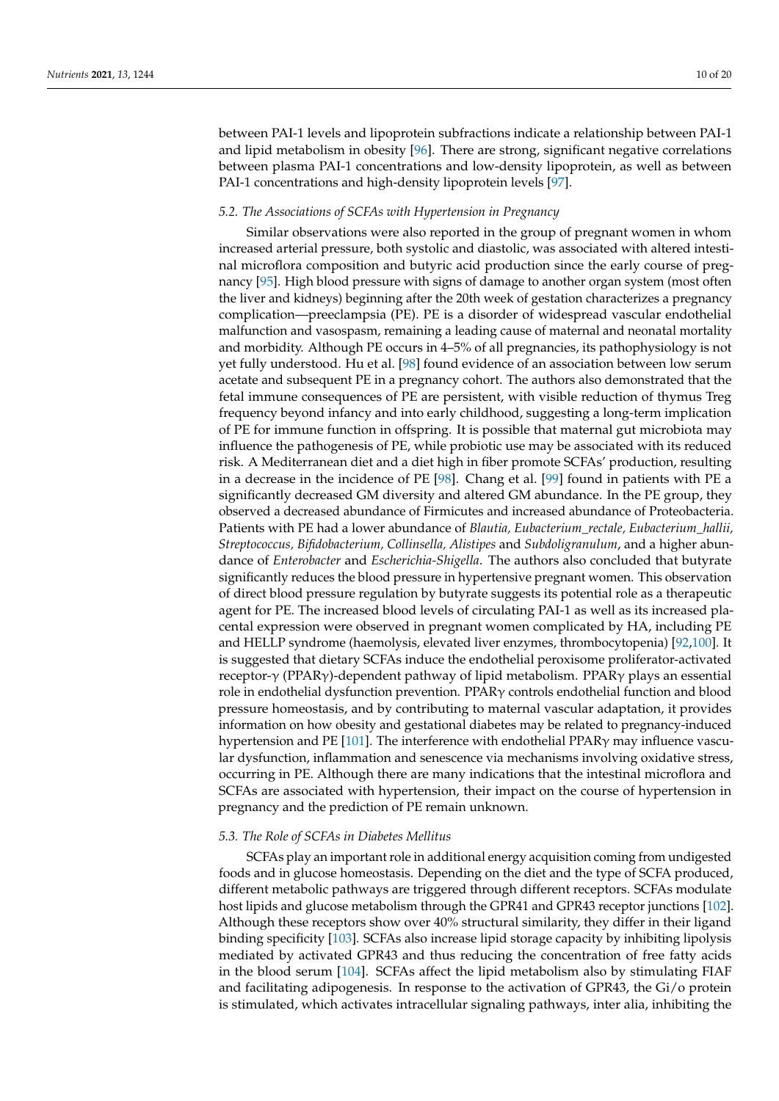between PAI-1 levels and lipoprotein subfractions indicate a relationship between PAI-1 and lipid metabolism in obesity [\[96\]](#page-18-4). There are strong, significant negative correlations between plasma PAI-1 concentrations and low-density lipoprotein, as well as between PAI-1 concentrations and high-density lipoprotein levels [\[97\]](#page-18-5).

### *5.2. The Associations of SCFAs with Hypertension in Pregnancy*

Similar observations were also reported in the group of pregnant women in whom increased arterial pressure, both systolic and diastolic, was associated with altered intestinal microflora composition and butyric acid production since the early course of pregnancy [\[95\]](#page-18-3). High blood pressure with signs of damage to another organ system (most often the liver and kidneys) beginning after the 20th week of gestation characterizes a pregnancy complication—preeclampsia (PE). PE is a disorder of widespread vascular endothelial malfunction and vasospasm, remaining a leading cause of maternal and neonatal mortality and morbidity. Although PE occurs in 4–5% of all pregnancies, its pathophysiology is not yet fully understood. Hu et al. [\[98\]](#page-18-6) found evidence of an association between low serum acetate and subsequent PE in a pregnancy cohort. The authors also demonstrated that the fetal immune consequences of PE are persistent, with visible reduction of thymus Treg frequency beyond infancy and into early childhood, suggesting a long-term implication of PE for immune function in offspring. It is possible that maternal gut microbiota may influence the pathogenesis of PE, while probiotic use may be associated with its reduced risk. A Mediterranean diet and a diet high in fiber promote SCFAs' production, resulting in a decrease in the incidence of PE [\[98\]](#page-18-6). Chang et al. [\[99\]](#page-18-7) found in patients with PE a significantly decreased GM diversity and altered GM abundance. In the PE group, they observed a decreased abundance of Firmicutes and increased abundance of Proteobacteria. Patients with PE had a lower abundance of *Blautia, Eubacterium\_rectale, Eubacterium\_hallii, Streptococcus, Bifidobacterium, Collinsella, Alistipes* and *Subdoligranulum*, and a higher abundance of *Enterobacter* and *Escherichia-Shigella*. The authors also concluded that butyrate significantly reduces the blood pressure in hypertensive pregnant women. This observation of direct blood pressure regulation by butyrate suggests its potential role as a therapeutic agent for PE. The increased blood levels of circulating PAI-1 as well as its increased placental expression were observed in pregnant women complicated by HA, including PE and HELLP syndrome (haemolysis, elevated liver enzymes, thrombocytopenia) [\[92,](#page-18-0)[100\]](#page-18-8). It is suggested that dietary SCFAs induce the endothelial peroxisome proliferator-activated receptor-γ (PPARγ)-dependent pathway of lipid metabolism. PPARγ plays an essential role in endothelial dysfunction prevention. PPARγ controls endothelial function and blood pressure homeostasis, and by contributing to maternal vascular adaptation, it provides information on how obesity and gestational diabetes may be related to pregnancy-induced hypertension and PE [\[101\]](#page-18-9). The interference with endothelial PPARγ may influence vascular dysfunction, inflammation and senescence via mechanisms involving oxidative stress, occurring in PE. Although there are many indications that the intestinal microflora and SCFAs are associated with hypertension, their impact on the course of hypertension in pregnancy and the prediction of PE remain unknown.

# *5.3. The Role of SCFAs in Diabetes Mellitus*

SCFAs play an important role in additional energy acquisition coming from undigested foods and in glucose homeostasis. Depending on the diet and the type of SCFA produced, different metabolic pathways are triggered through different receptors. SCFAs modulate host lipids and glucose metabolism through the GPR41 and GPR43 receptor junctions [\[102\]](#page-18-10). Although these receptors show over 40% structural similarity, they differ in their ligand binding specificity [\[103\]](#page-18-11). SCFAs also increase lipid storage capacity by inhibiting lipolysis mediated by activated GPR43 and thus reducing the concentration of free fatty acids in the blood serum [\[104\]](#page-18-12). SCFAs affect the lipid metabolism also by stimulating FIAF and facilitating adipogenesis. In response to the activation of GPR43, the Gi/o protein is stimulated, which activates intracellular signaling pathways, inter alia, inhibiting the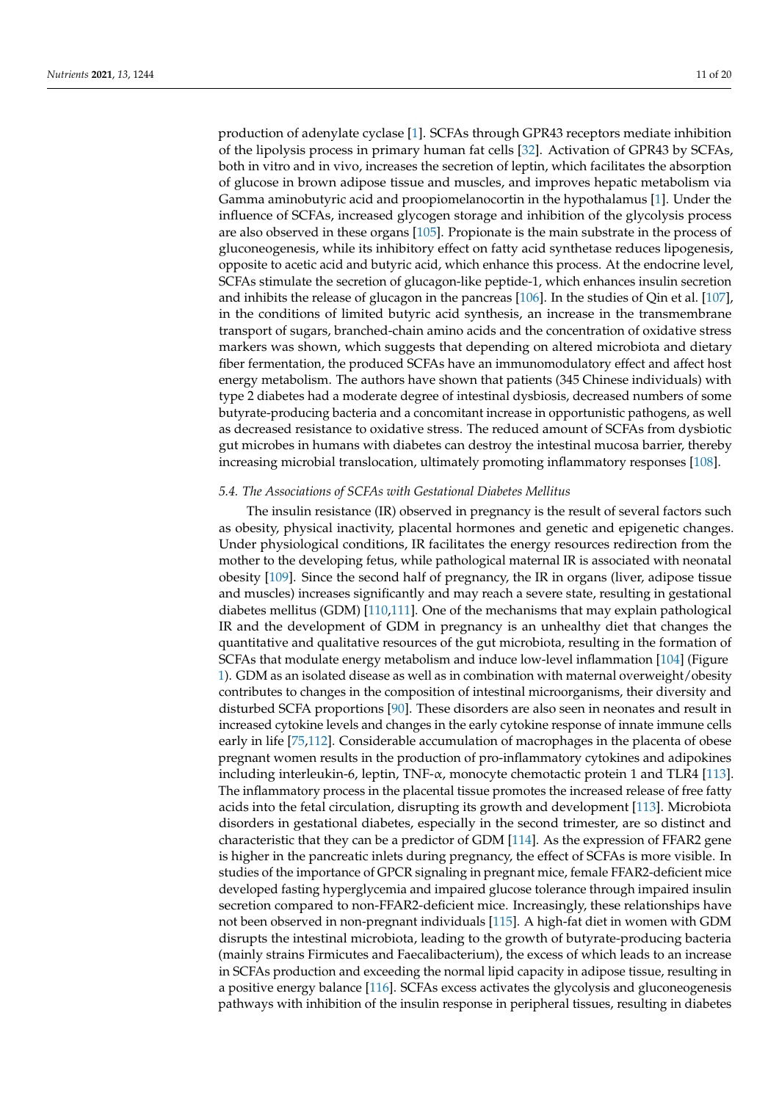production of adenylate cyclase [\[1\]](#page-14-0). SCFAs through GPR43 receptors mediate inhibition of the lipolysis process in primary human fat cells [\[32\]](#page-15-11). Activation of GPR43 by SCFAs, both in vitro and in vivo, increases the secretion of leptin, which facilitates the absorption of glucose in brown adipose tissue and muscles, and improves hepatic metabolism via Gamma aminobutyric acid and proopiomelanocortin in the hypothalamus [\[1\]](#page-14-0). Under the influence of SCFAs, increased glycogen storage and inhibition of the glycolysis process are also observed in these organs [\[105\]](#page-18-13). Propionate is the main substrate in the process of gluconeogenesis, while its inhibitory effect on fatty acid synthetase reduces lipogenesis, opposite to acetic acid and butyric acid, which enhance this process. At the endocrine level, SCFAs stimulate the secretion of glucagon-like peptide-1, which enhances insulin secretion and inhibits the release of glucagon in the pancreas [\[106\]](#page-18-14). In the studies of Qin et al. [\[107\]](#page-18-15), in the conditions of limited butyric acid synthesis, an increase in the transmembrane transport of sugars, branched-chain amino acids and the concentration of oxidative stress markers was shown, which suggests that depending on altered microbiota and dietary fiber fermentation, the produced SCFAs have an immunomodulatory effect and affect host energy metabolism. The authors have shown that patients (345 Chinese individuals) with type 2 diabetes had a moderate degree of intestinal dysbiosis, decreased numbers of some butyrate-producing bacteria and a concomitant increase in opportunistic pathogens, as well as decreased resistance to oxidative stress. The reduced amount of SCFAs from dysbiotic gut microbes in humans with diabetes can destroy the intestinal mucosa barrier, thereby increasing microbial translocation, ultimately promoting inflammatory responses [\[108\]](#page-18-16).

# *5.4. The Associations of SCFAs with Gestational Diabetes Mellitus*

The insulin resistance (IR) observed in pregnancy is the result of several factors such as obesity, physical inactivity, placental hormones and genetic and epigenetic changes. Under physiological conditions, IR facilitates the energy resources redirection from the mother to the developing fetus, while pathological maternal IR is associated with neonatal obesity [\[109\]](#page-18-17). Since the second half of pregnancy, the IR in organs (liver, adipose tissue and muscles) increases significantly and may reach a severe state, resulting in gestational diabetes mellitus (GDM) [\[110](#page-18-18)[,111\]](#page-18-19). One of the mechanisms that may explain pathological IR and the development of GDM in pregnancy is an unhealthy diet that changes the quantitative and qualitative resources of the gut microbiota, resulting in the formation of SCFAs that modulate energy metabolism and induce low-level inflammation [\[104\]](#page-18-12) (Figure [1\)](#page-8-0). GDM as an isolated disease as well as in combination with maternal overweight/obesity contributes to changes in the composition of intestinal microorganisms, their diversity and disturbed SCFA proportions [\[90\]](#page-17-22). These disorders are also seen in neonates and result in increased cytokine levels and changes in the early cytokine response of innate immune cells early in life [\[75](#page-17-7)[,112\]](#page-18-20). Considerable accumulation of macrophages in the placenta of obese pregnant women results in the production of pro-inflammatory cytokines and adipokines including interleukin-6, leptin, TNF-α, monocyte chemotactic protein 1 and TLR4 [\[113\]](#page-18-21). The inflammatory process in the placental tissue promotes the increased release of free fatty acids into the fetal circulation, disrupting its growth and development [\[113\]](#page-18-21). Microbiota disorders in gestational diabetes, especially in the second trimester, are so distinct and characteristic that they can be a predictor of GDM [\[114\]](#page-18-22). As the expression of FFAR2 gene is higher in the pancreatic inlets during pregnancy, the effect of SCFAs is more visible. In studies of the importance of GPCR signaling in pregnant mice, female FFAR2-deficient mice developed fasting hyperglycemia and impaired glucose tolerance through impaired insulin secretion compared to non-FFAR2-deficient mice. Increasingly, these relationships have not been observed in non-pregnant individuals [\[115\]](#page-18-23). A high-fat diet in women with GDM disrupts the intestinal microbiota, leading to the growth of butyrate-producing bacteria (mainly strains Firmicutes and Faecalibacterium), the excess of which leads to an increase in SCFAs production and exceeding the normal lipid capacity in adipose tissue, resulting in a positive energy balance [\[116\]](#page-18-24). SCFAs excess activates the glycolysis and gluconeogenesis pathways with inhibition of the insulin response in peripheral tissues, resulting in diabetes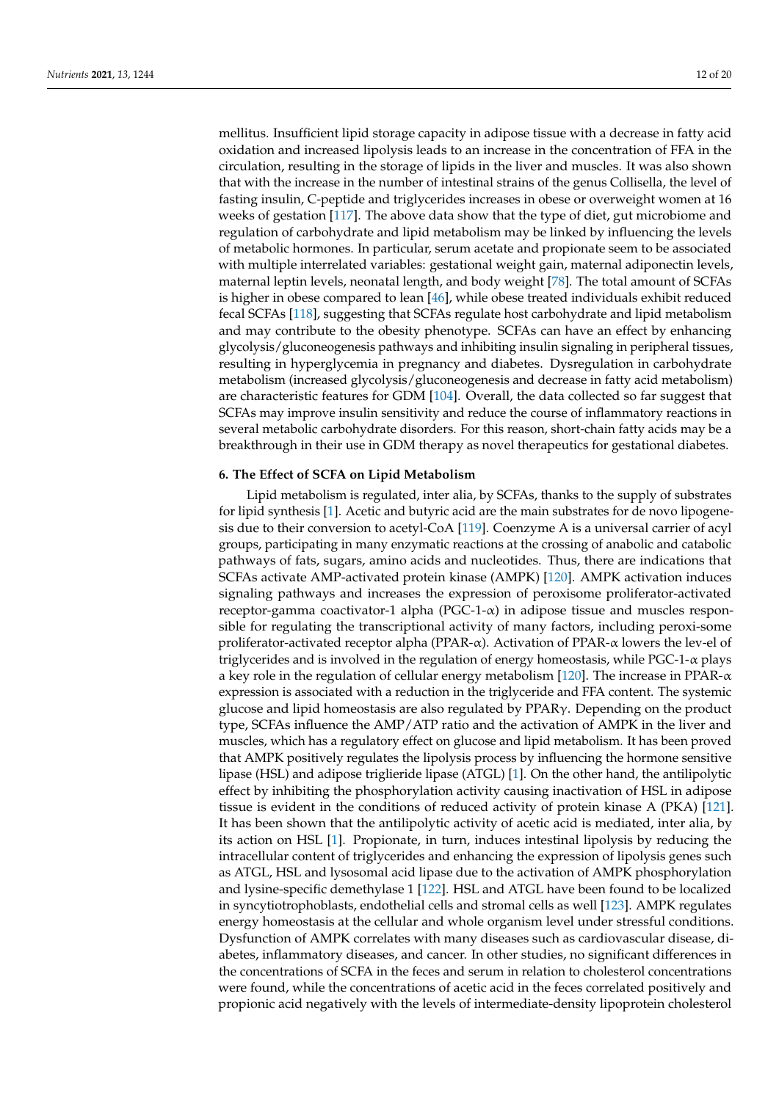mellitus. Insufficient lipid storage capacity in adipose tissue with a decrease in fatty acid oxidation and increased lipolysis leads to an increase in the concentration of FFA in the circulation, resulting in the storage of lipids in the liver and muscles. It was also shown that with the increase in the number of intestinal strains of the genus Collisella, the level of fasting insulin, C-peptide and triglycerides increases in obese or overweight women at 16 weeks of gestation [\[117\]](#page-18-25). The above data show that the type of diet, gut microbiome and regulation of carbohydrate and lipid metabolism may be linked by influencing the levels of metabolic hormones. In particular, serum acetate and propionate seem to be associated with multiple interrelated variables: gestational weight gain, maternal adiponectin levels, maternal leptin levels, neonatal length, and body weight [\[78\]](#page-17-10). The total amount of SCFAs is higher in obese compared to lean [\[46\]](#page-16-3), while obese treated individuals exhibit reduced fecal SCFAs [\[118\]](#page-19-0), suggesting that SCFAs regulate host carbohydrate and lipid metabolism and may contribute to the obesity phenotype. SCFAs can have an effect by enhancing glycolysis/gluconeogenesis pathways and inhibiting insulin signaling in peripheral tissues, resulting in hyperglycemia in pregnancy and diabetes. Dysregulation in carbohydrate metabolism (increased glycolysis/gluconeogenesis and decrease in fatty acid metabolism) are characteristic features for GDM [\[104\]](#page-18-12). Overall, the data collected so far suggest that SCFAs may improve insulin sensitivity and reduce the course of inflammatory reactions in several metabolic carbohydrate disorders. For this reason, short-chain fatty acids may be a breakthrough in their use in GDM therapy as novel therapeutics for gestational diabetes.

## **6. The Effect of SCFA on Lipid Metabolism**

Lipid metabolism is regulated, inter alia, by SCFAs, thanks to the supply of substrates for lipid synthesis [\[1\]](#page-14-0). Acetic and butyric acid are the main substrates for de novo lipogenesis due to their conversion to acetyl-CoA [\[119\]](#page-19-1). Coenzyme A is a universal carrier of acyl groups, participating in many enzymatic reactions at the crossing of anabolic and catabolic pathways of fats, sugars, amino acids and nucleotides. Thus, there are indications that SCFAs activate AMP-activated protein kinase (AMPK) [\[120\]](#page-19-2). AMPK activation induces signaling pathways and increases the expression of peroxisome proliferator-activated receptor-gamma coactivator-1 alpha (PGC-1-α) in adipose tissue and muscles responsible for regulating the transcriptional activity of many factors, including peroxi-some proliferator-activated receptor alpha (PPAR- $\alpha$ ). Activation of PPAR- $\alpha$  lowers the lev-el of triglycerides and is involved in the regulation of energy homeostasis, while  $PGC-1-\alpha$  plays a key role in the regulation of cellular energy metabolism [\[120\]](#page-19-2). The increase in PPAR-α expression is associated with a reduction in the triglyceride and FFA content. The systemic glucose and lipid homeostasis are also regulated by PPARγ. Depending on the product type, SCFAs influence the AMP/ATP ratio and the activation of AMPK in the liver and muscles, which has a regulatory effect on glucose and lipid metabolism. It has been proved that AMPK positively regulates the lipolysis process by influencing the hormone sensitive lipase (HSL) and adipose triglieride lipase (ATGL) [\[1\]](#page-14-0). On the other hand, the antilipolytic effect by inhibiting the phosphorylation activity causing inactivation of HSL in adipose tissue is evident in the conditions of reduced activity of protein kinase A (PKA) [\[121\]](#page-19-3). It has been shown that the antilipolytic activity of acetic acid is mediated, inter alia, by its action on HSL [\[1\]](#page-14-0). Propionate, in turn, induces intestinal lipolysis by reducing the intracellular content of triglycerides and enhancing the expression of lipolysis genes such as ATGL, HSL and lysosomal acid lipase due to the activation of AMPK phosphorylation and lysine-specific demethylase 1 [\[122\]](#page-19-4). HSL and ATGL have been found to be localized in syncytiotrophoblasts, endothelial cells and stromal cells as well [\[123\]](#page-19-5). AMPK regulates energy homeostasis at the cellular and whole organism level under stressful conditions. Dysfunction of AMPK correlates with many diseases such as cardiovascular disease, diabetes, inflammatory diseases, and cancer. In other studies, no significant differences in the concentrations of SCFA in the feces and serum in relation to cholesterol concentrations were found, while the concentrations of acetic acid in the feces correlated positively and propionic acid negatively with the levels of intermediate-density lipoprotein cholesterol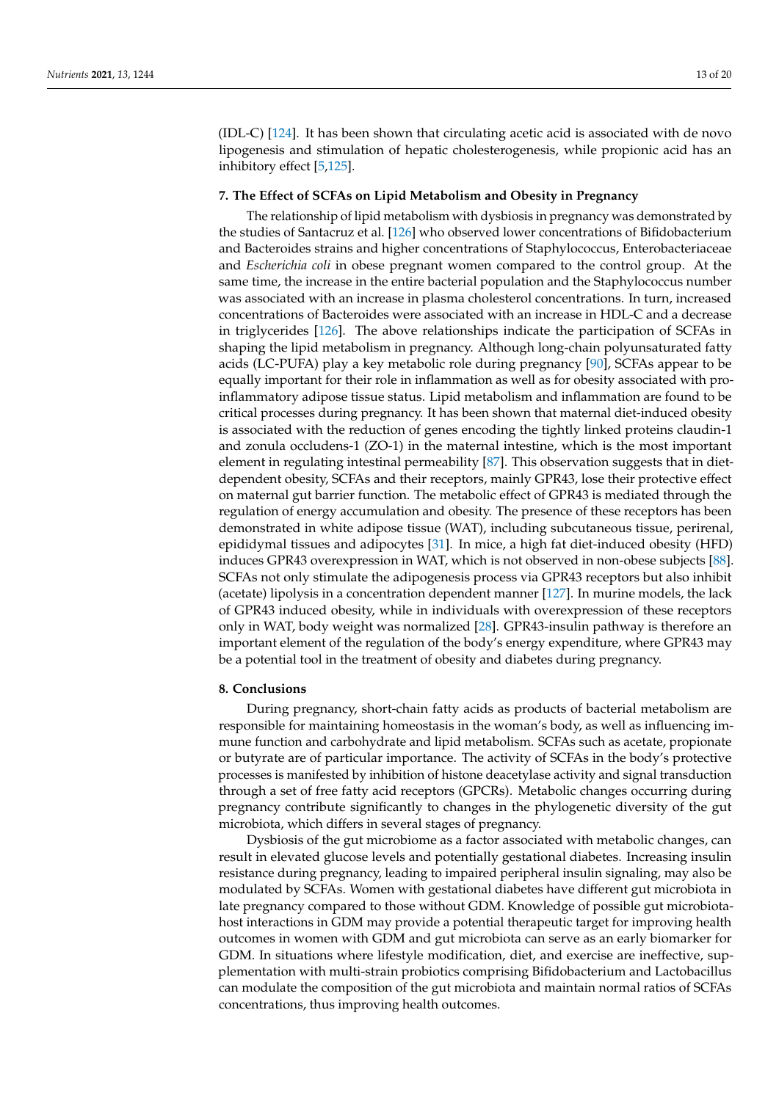(IDL-C) [\[124\]](#page-19-6). It has been shown that circulating acetic acid is associated with de novo lipogenesis and stimulation of hepatic cholesterogenesis, while propionic acid has an inhibitory effect [\[5,](#page-14-3)[125\]](#page-19-7).

# **7. The Effect of SCFAs on Lipid Metabolism and Obesity in Pregnancy**

The relationship of lipid metabolism with dysbiosis in pregnancy was demonstrated by the studies of Santacruz et al. [\[126\]](#page-19-8) who observed lower concentrations of Bifidobacterium and Bacteroides strains and higher concentrations of Staphylococcus, Enterobacteriaceae and *Escherichia coli* in obese pregnant women compared to the control group. At the same time, the increase in the entire bacterial population and the Staphylococcus number was associated with an increase in plasma cholesterol concentrations. In turn, increased concentrations of Bacteroides were associated with an increase in HDL-C and a decrease in triglycerides [\[126\]](#page-19-8). The above relationships indicate the participation of SCFAs in shaping the lipid metabolism in pregnancy. Although long-chain polyunsaturated fatty acids (LC-PUFA) play a key metabolic role during pregnancy [\[90\]](#page-17-22), SCFAs appear to be equally important for their role in inflammation as well as for obesity associated with proinflammatory adipose tissue status. Lipid metabolism and inflammation are found to be critical processes during pregnancy. It has been shown that maternal diet-induced obesity is associated with the reduction of genes encoding the tightly linked proteins claudin-1 and zonula occludens-1 (ZO-1) in the maternal intestine, which is the most important element in regulating intestinal permeability [\[87\]](#page-17-19). This observation suggests that in dietdependent obesity, SCFAs and their receptors, mainly GPR43, lose their protective effect on maternal gut barrier function. The metabolic effect of GPR43 is mediated through the regulation of energy accumulation and obesity. The presence of these receptors has been demonstrated in white adipose tissue (WAT), including subcutaneous tissue, perirenal, epididymal tissues and adipocytes [\[31\]](#page-15-10). In mice, a high fat diet-induced obesity (HFD) induces GPR43 overexpression in WAT, which is not observed in non-obese subjects [\[88\]](#page-17-20). SCFAs not only stimulate the adipogenesis process via GPR43 receptors but also inhibit (acetate) lipolysis in a concentration dependent manner [\[127\]](#page-19-9). In murine models, the lack of GPR43 induced obesity, while in individuals with overexpression of these receptors only in WAT, body weight was normalized [\[28\]](#page-15-7). GPR43-insulin pathway is therefore an important element of the regulation of the body's energy expenditure, where GPR43 may be a potential tool in the treatment of obesity and diabetes during pregnancy.

#### **8. Conclusions**

During pregnancy, short-chain fatty acids as products of bacterial metabolism are responsible for maintaining homeostasis in the woman's body, as well as influencing immune function and carbohydrate and lipid metabolism. SCFAs such as acetate, propionate or butyrate are of particular importance. The activity of SCFAs in the body's protective processes is manifested by inhibition of histone deacetylase activity and signal transduction through a set of free fatty acid receptors (GPCRs). Metabolic changes occurring during pregnancy contribute significantly to changes in the phylogenetic diversity of the gut microbiota, which differs in several stages of pregnancy.

Dysbiosis of the gut microbiome as a factor associated with metabolic changes, can result in elevated glucose levels and potentially gestational diabetes. Increasing insulin resistance during pregnancy, leading to impaired peripheral insulin signaling, may also be modulated by SCFAs. Women with gestational diabetes have different gut microbiota in late pregnancy compared to those without GDM. Knowledge of possible gut microbiotahost interactions in GDM may provide a potential therapeutic target for improving health outcomes in women with GDM and gut microbiota can serve as an early biomarker for GDM. In situations where lifestyle modification, diet, and exercise are ineffective, supplementation with multi-strain probiotics comprising Bifidobacterium and Lactobacillus can modulate the composition of the gut microbiota and maintain normal ratios of SCFAs concentrations, thus improving health outcomes.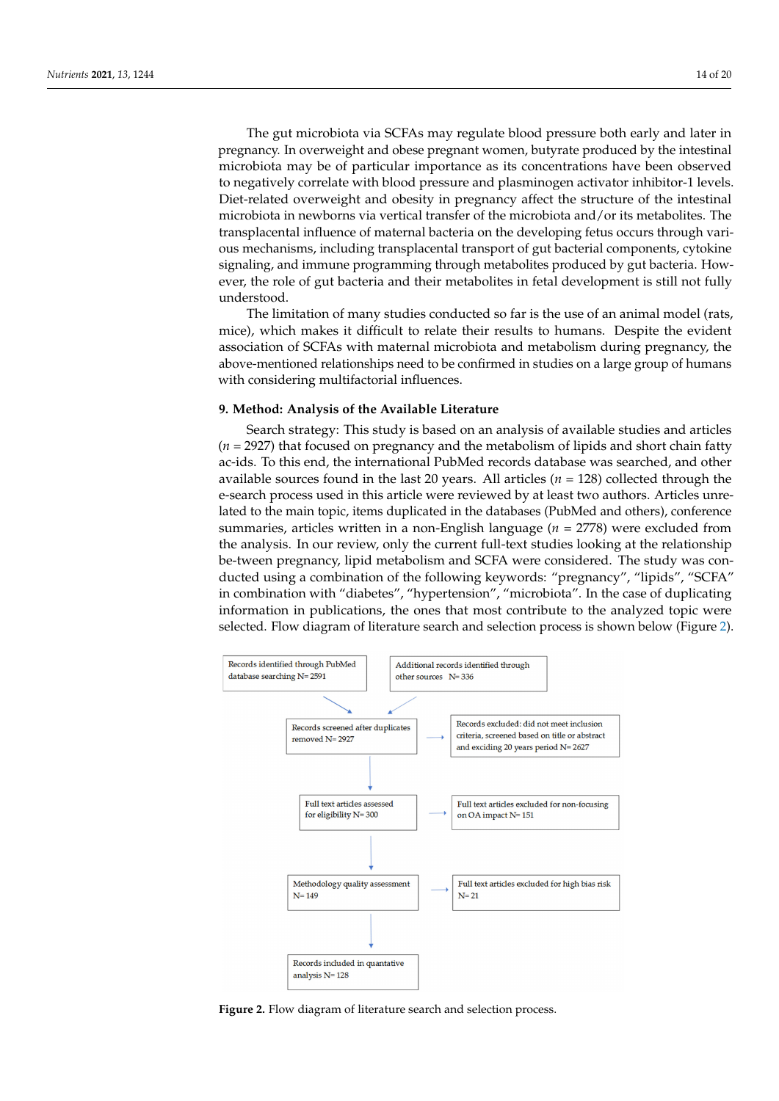The gut microbiota via SCFAs may regulate blood pressure both early and later in pregnancy. In overweight and obese pregnant women, butyrate produced by the intestinal microbiota may be of particular importance as its concentrations have been observed to negatively correlate with blood pressure and plasminogen activator inhibitor-1 levels. Diet-related overweight and obesity in pregnancy affect the structure of the intestinal microbiota in newborns via vertical transfer of the microbiota and/or its metabolites. The transplacental influence of maternal bacteria on the developing fetus occurs through various mechanisms, including transplacental transport of gut bacterial components, cytokine signaling, and immune programming through metabolites produced by gut bacteria. However, the role of gut bacteria and their metabolites in fetal development is still not fully understood.

The limitation of many studies conducted so far is the use of an animal model (rats, mice), which makes it difficult to relate their results to humans. Despite the evident association of SCFAs with maternal microbiota and metabolism during pregnancy, the above-mentioned relationships need to be confirmed in studies on a large group of humans with considering multifactorial influences.

### **9. Method: Analysis of the Available Literature**

Search strategy: This study is based on an analysis of available studies and articles (*n* = 2927) that focused on pregnancy and the metabolism of lipids and short chain fatty ac-ids. To this end, the international PubMed records database was searched, and other available sources found in the last 20 years. All articles  $(n = 128)$  collected through the e-search process used in this article were reviewed by at least two authors. Articles unrelated to the main topic, items duplicated in the databases (PubMed and others), conference summaries, articles written in a non-English language (*n* = 2778) were excluded from the analysis. In our review, only the current full-text studies looking at the relationship be-tween pregnancy, lipid metabolism and SCFA were considered. The study was conducted using a combination of the following keywords: "pregnancy", "lipids", "SCFA" in combination with "diabetes", "hypertension", "microbiota". In the case of duplicating information in publications, the ones that most contribute to the analyzed topic were selected. Flow diagram of literature search and selection process is shown below (Figure [2\)](#page-13-0).

<span id="page-13-0"></span>

**Figure 2.** Flow diagram of literature search and selection process. **Figure 2.** Flow diagram of literature search and selection process.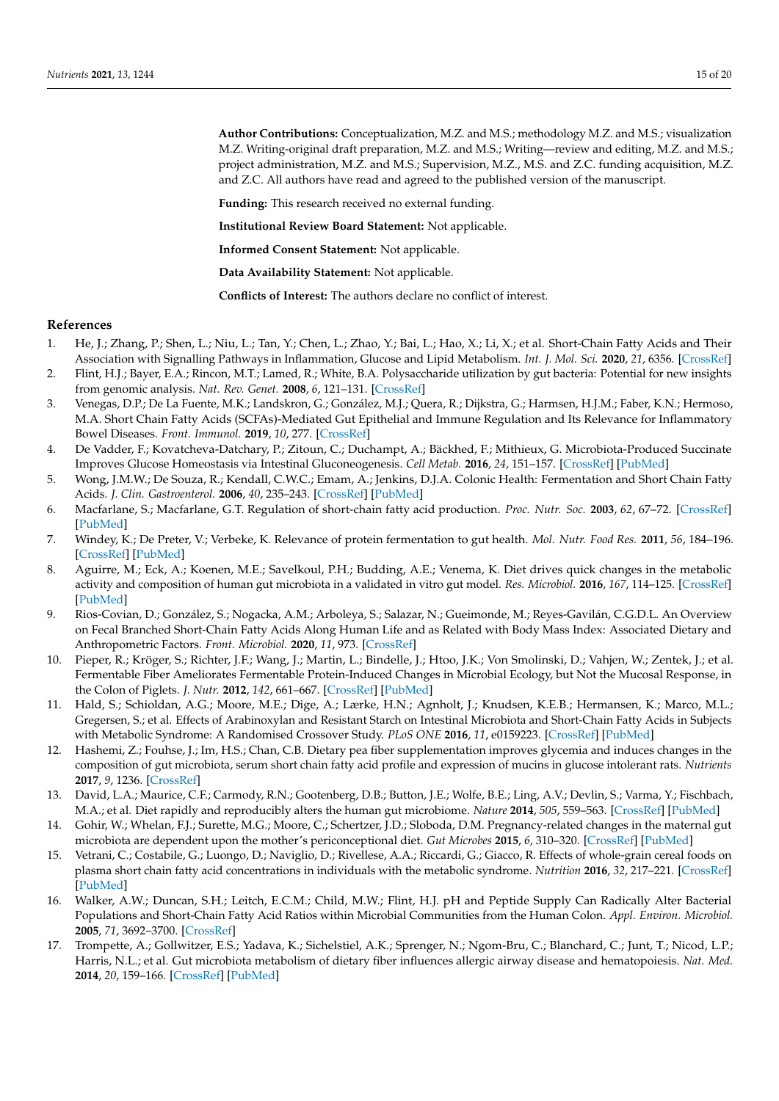**Author Contributions:** Conceptualization, M.Z. and M.S.; methodology M.Z. and M.S.; visualization M.Z. Writing-original draft preparation, M.Z. and M.S.; Writing—review and editing, M.Z. and M.S.; project administration, M.Z. and M.S.; Supervision, M.Z., M.S. and Z.C. funding acquisition, M.Z. and Z.C. All authors have read and agreed to the published version of the manuscript.

**Funding:** This research received no external funding.

**Institutional Review Board Statement:** Not applicable.

**Informed Consent Statement:** Not applicable.

**Data Availability Statement:** Not applicable.

**Conflicts of Interest:** The authors declare no conflict of interest.

#### **References**

- <span id="page-14-0"></span>1. He, J.; Zhang, P.; Shen, L.; Niu, L.; Tan, Y.; Chen, L.; Zhao, Y.; Bai, L.; Hao, X.; Li, X.; et al. Short-Chain Fatty Acids and Their Association with Signalling Pathways in Inflammation, Glucose and Lipid Metabolism. *Int. J. Mol. Sci.* **2020**, *21*, 6356. [\[CrossRef\]](http://doi.org/10.3390/ijms21176356)
- 2. Flint, H.J.; Bayer, E.A.; Rincon, M.T.; Lamed, R.; White, B.A. Polysaccharide utilization by gut bacteria: Potential for new insights from genomic analysis. *Nat. Rev. Genet.* **2008**, *6*, 121–131. [\[CrossRef\]](http://doi.org/10.1038/nrmicro1817)
- <span id="page-14-1"></span>3. Venegas, D.P.; De La Fuente, M.K.; Landskron, G.; González, M.J.; Quera, R.; Dijkstra, G.; Harmsen, H.J.M.; Faber, K.N.; Hermoso, M.A. Short Chain Fatty Acids (SCFAs)-Mediated Gut Epithelial and Immune Regulation and Its Relevance for Inflammatory Bowel Diseases. *Front. Immunol.* **2019**, *10*, 277. [\[CrossRef\]](http://doi.org/10.3389/fimmu.2019.00277)
- <span id="page-14-2"></span>4. De Vadder, F.; Kovatcheva-Datchary, P.; Zitoun, C.; Duchampt, A.; Bäckhed, F.; Mithieux, G. Microbiota-Produced Succinate Improves Glucose Homeostasis via Intestinal Gluconeogenesis. *Cell Metab.* **2016**, *24*, 151–157. [\[CrossRef\]](http://doi.org/10.1016/j.cmet.2016.06.013) [\[PubMed\]](http://www.ncbi.nlm.nih.gov/pubmed/27411015)
- <span id="page-14-3"></span>5. Wong, J.M.W.; De Souza, R.; Kendall, C.W.C.; Emam, A.; Jenkins, D.J.A. Colonic Health: Fermentation and Short Chain Fatty Acids. *J. Clin. Gastroenterol.* **2006**, *40*, 235–243. [\[CrossRef\]](http://doi.org/10.1097/00004836-200603000-00015) [\[PubMed\]](http://www.ncbi.nlm.nih.gov/pubmed/16633129)
- <span id="page-14-4"></span>6. Macfarlane, S.; Macfarlane, G.T. Regulation of short-chain fatty acid production. *Proc. Nutr. Soc.* **2003**, *62*, 67–72. [\[CrossRef\]](http://doi.org/10.1079/PNS2002207) [\[PubMed\]](http://www.ncbi.nlm.nih.gov/pubmed/12740060)
- <span id="page-14-5"></span>7. Windey, K.; De Preter, V.; Verbeke, K. Relevance of protein fermentation to gut health. *Mol. Nutr. Food Res.* **2011**, *56*, 184–196. [\[CrossRef\]](http://doi.org/10.1002/mnfr.201100542) [\[PubMed\]](http://www.ncbi.nlm.nih.gov/pubmed/22121108)
- <span id="page-14-6"></span>8. Aguirre, M.; Eck, A.; Koenen, M.E.; Savelkoul, P.H.; Budding, A.E.; Venema, K. Diet drives quick changes in the metabolic activity and composition of human gut microbiota in a validated in vitro gut model. *Res. Microbiol.* **2016**, *167*, 114–125. [\[CrossRef\]](http://doi.org/10.1016/j.resmic.2015.09.006) [\[PubMed\]](http://www.ncbi.nlm.nih.gov/pubmed/26499094)
- <span id="page-14-7"></span>9. Rios-Covian, D.; González, S.; Nogacka, A.M.; Arboleya, S.; Salazar, N.; Gueimonde, M.; Reyes-Gavilán, C.G.D.L. An Overview on Fecal Branched Short-Chain Fatty Acids Along Human Life and as Related with Body Mass Index: Associated Dietary and Anthropometric Factors. *Front. Microbiol.* **2020**, *11*, 973. [\[CrossRef\]](http://doi.org/10.3389/fmicb.2020.00973)
- <span id="page-14-8"></span>10. Pieper, R.; Kröger, S.; Richter, J.F.; Wang, J.; Martin, L.; Bindelle, J.; Htoo, J.K.; Von Smolinski, D.; Vahjen, W.; Zentek, J.; et al. Fermentable Fiber Ameliorates Fermentable Protein-Induced Changes in Microbial Ecology, but Not the Mucosal Response, in the Colon of Piglets. *J. Nutr.* **2012**, *142*, 661–667. [\[CrossRef\]](http://doi.org/10.3945/jn.111.156190) [\[PubMed\]](http://www.ncbi.nlm.nih.gov/pubmed/22357743)
- <span id="page-14-9"></span>11. Hald, S.; Schioldan, A.G.; Moore, M.E.; Dige, A.; Lærke, H.N.; Agnholt, J.; Knudsen, K.E.B.; Hermansen, K.; Marco, M.L.; Gregersen, S.; et al. Effects of Arabinoxylan and Resistant Starch on Intestinal Microbiota and Short-Chain Fatty Acids in Subjects with Metabolic Syndrome: A Randomised Crossover Study. *PLoS ONE* **2016**, *11*, e0159223. [\[CrossRef\]](http://doi.org/10.1371/journal.pone.0159223) [\[PubMed\]](http://www.ncbi.nlm.nih.gov/pubmed/27434092)
- <span id="page-14-10"></span>12. Hashemi, Z.; Fouhse, J.; Im, H.S.; Chan, C.B. Dietary pea fiber supplementation improves glycemia and induces changes in the composition of gut microbiota, serum short chain fatty acid profile and expression of mucins in glucose intolerant rats. *Nutrients* **2017**, *9*, 1236. [\[CrossRef\]](http://doi.org/10.3390/nu9111236)
- <span id="page-14-11"></span>13. David, L.A.; Maurice, C.F.; Carmody, R.N.; Gootenberg, D.B.; Button, J.E.; Wolfe, B.E.; Ling, A.V.; Devlin, S.; Varma, Y.; Fischbach, M.A.; et al. Diet rapidly and reproducibly alters the human gut microbiome. *Nature* **2014**, *505*, 559–563. [\[CrossRef\]](http://doi.org/10.1038/nature12820) [\[PubMed\]](http://www.ncbi.nlm.nih.gov/pubmed/24336217)
- <span id="page-14-12"></span>14. Gohir, W.; Whelan, F.J.; Surette, M.G.; Moore, C.; Schertzer, J.D.; Sloboda, D.M. Pregnancy-related changes in the maternal gut microbiota are dependent upon the mother's periconceptional diet. *Gut Microbes* **2015**, *6*, 310–320. [\[CrossRef\]](http://doi.org/10.1080/19490976.2015.1086056) [\[PubMed\]](http://www.ncbi.nlm.nih.gov/pubmed/26322500)
- <span id="page-14-13"></span>15. Vetrani, C.; Costabile, G.; Luongo, D.; Naviglio, D.; Rivellese, A.A.; Riccardi, G.; Giacco, R. Effects of whole-grain cereal foods on plasma short chain fatty acid concentrations in individuals with the metabolic syndrome. *Nutrition* **2016**, *32*, 217–221. [\[CrossRef\]](http://doi.org/10.1016/j.nut.2015.08.006) [\[PubMed\]](http://www.ncbi.nlm.nih.gov/pubmed/26706023)
- <span id="page-14-14"></span>16. Walker, A.W.; Duncan, S.H.; Leitch, E.C.M.; Child, M.W.; Flint, H.J. pH and Peptide Supply Can Radically Alter Bacterial Populations and Short-Chain Fatty Acid Ratios within Microbial Communities from the Human Colon. *Appl. Environ. Microbiol.* **2005**, *71*, 3692–3700. [\[CrossRef\]](http://doi.org/10.1128/AEM.71.7.3692-3700.2005)
- <span id="page-14-15"></span>17. Trompette, A.; Gollwitzer, E.S.; Yadava, K.; Sichelstiel, A.K.; Sprenger, N.; Ngom-Bru, C.; Blanchard, C.; Junt, T.; Nicod, L.P.; Harris, N.L.; et al. Gut microbiota metabolism of dietary fiber influences allergic airway disease and hematopoiesis. *Nat. Med.* **2014**, *20*, 159–166. [\[CrossRef\]](http://doi.org/10.1038/nm.3444) [\[PubMed\]](http://www.ncbi.nlm.nih.gov/pubmed/24390308)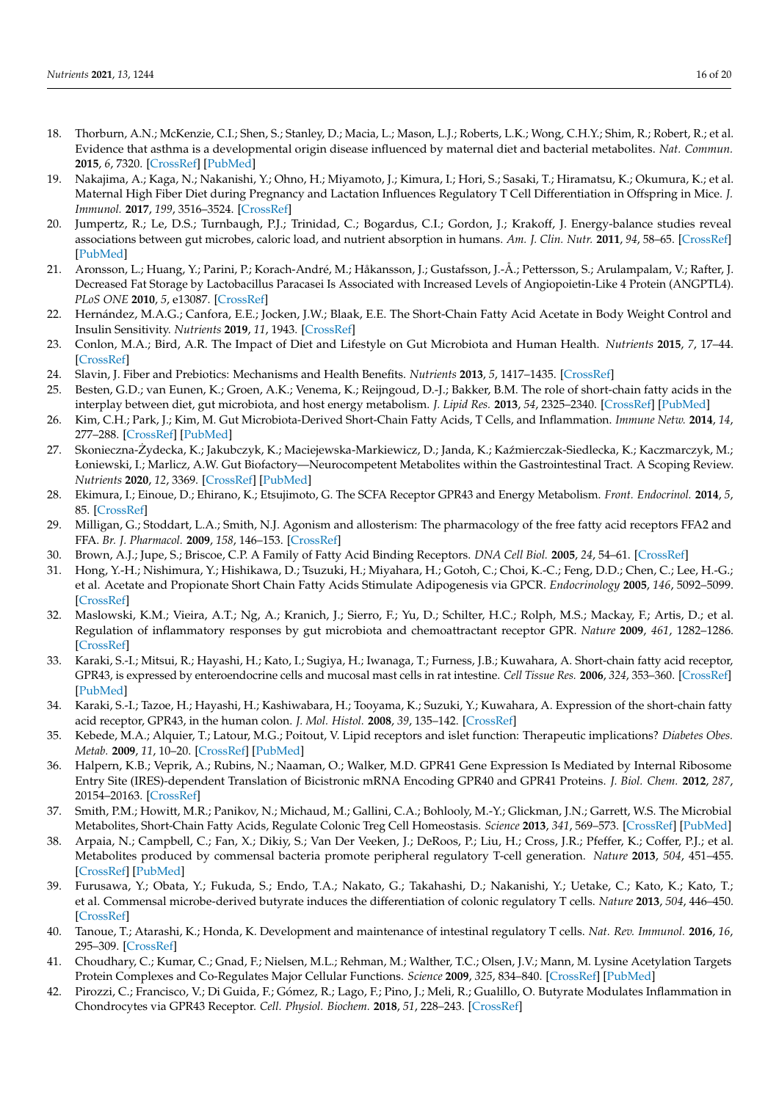- 18. Thorburn, A.N.; McKenzie, C.I.; Shen, S.; Stanley, D.; Macia, L.; Mason, L.J.; Roberts, L.K.; Wong, C.H.Y.; Shim, R.; Robert, R.; et al. Evidence that asthma is a developmental origin disease influenced by maternal diet and bacterial metabolites. *Nat. Commun.* **2015**, *6*, 7320. [\[CrossRef\]](http://doi.org/10.1038/ncomms8320) [\[PubMed\]](http://www.ncbi.nlm.nih.gov/pubmed/26102221)
- <span id="page-15-0"></span>19. Nakajima, A.; Kaga, N.; Nakanishi, Y.; Ohno, H.; Miyamoto, J.; Kimura, I.; Hori, S.; Sasaki, T.; Hiramatsu, K.; Okumura, K.; et al. Maternal High Fiber Diet during Pregnancy and Lactation Influences Regulatory T Cell Differentiation in Offspring in Mice. *J. Immunol.* **2017**, *199*, 3516–3524. [\[CrossRef\]](http://doi.org/10.4049/jimmunol.1700248)
- <span id="page-15-1"></span>20. Jumpertz, R.; Le, D.S.; Turnbaugh, P.J.; Trinidad, C.; Bogardus, C.I.; Gordon, J.; Krakoff, J. Energy-balance studies reveal associations between gut microbes, caloric load, and nutrient absorption in humans. *Am. J. Clin. Nutr.* **2011**, *94*, 58–65. [\[CrossRef\]](http://doi.org/10.3945/ajcn.110.010132) [\[PubMed\]](http://www.ncbi.nlm.nih.gov/pubmed/21543530)
- <span id="page-15-2"></span>21. Aronsson, L.; Huang, Y.; Parini, P.; Korach-André, M.; Håkansson, J.; Gustafsson, J.-Å.; Pettersson, S.; Arulampalam, V.; Rafter, J. Decreased Fat Storage by Lactobacillus Paracasei Is Associated with Increased Levels of Angiopoietin-Like 4 Protein (ANGPTL4). *PLoS ONE* **2010**, *5*, e13087. [\[CrossRef\]](http://doi.org/10.1371/journal.pone.0013087)
- <span id="page-15-3"></span>22. Hernández, M.A.G.; Canfora, E.E.; Jocken, J.W.; Blaak, E.E. The Short-Chain Fatty Acid Acetate in Body Weight Control and Insulin Sensitivity. *Nutrients* **2019**, *11*, 1943. [\[CrossRef\]](http://doi.org/10.3390/nu11081943)
- 23. Conlon, M.A.; Bird, A.R. The Impact of Diet and Lifestyle on Gut Microbiota and Human Health. *Nutrients* **2015**, *7*, 17–44. [\[CrossRef\]](http://doi.org/10.3390/nu7010017)
- <span id="page-15-4"></span>24. Slavin, J. Fiber and Prebiotics: Mechanisms and Health Benefits. *Nutrients* **2013**, *5*, 1417–1435. [\[CrossRef\]](http://doi.org/10.3390/nu5041417)
- <span id="page-15-5"></span>25. Besten, G.D.; van Eunen, K.; Groen, A.K.; Venema, K.; Reijngoud, D.-J.; Bakker, B.M. The role of short-chain fatty acids in the interplay between diet, gut microbiota, and host energy metabolism. *J. Lipid Res.* **2013**, *54*, 2325–2340. [\[CrossRef\]](http://doi.org/10.1194/jlr.R036012) [\[PubMed\]](http://www.ncbi.nlm.nih.gov/pubmed/23821742)
- <span id="page-15-6"></span>26. Kim, C.H.; Park, J.; Kim, M. Gut Microbiota-Derived Short-Chain Fatty Acids, T Cells, and Inflammation. *Immune Netw.* **2014**, *14*, 277–288. [\[CrossRef\]](http://doi.org/10.4110/in.2014.14.6.277) [\[PubMed\]](http://www.ncbi.nlm.nih.gov/pubmed/25550694)
- <span id="page-15-21"></span>27. Skonieczna-Żydecka, K.; Jakubczyk, K.; Maciejewska-Markiewicz, D.; Janda, K.; Kaźmierczak-Siedlecka, K.; Kaczmarczyk, M.; Łoniewski, I.; Marlicz, A.W. Gut Biofactory—Neurocompetent Metabolites within the Gastrointestinal Tract. A Scoping Review. *Nutrients* **2020**, *12*, 3369. [\[CrossRef\]](http://doi.org/10.3390/nu12113369) [\[PubMed\]](http://www.ncbi.nlm.nih.gov/pubmed/33139656)
- <span id="page-15-7"></span>28. Ekimura, I.; Einoue, D.; Ehirano, K.; Etsujimoto, G. The SCFA Receptor GPR43 and Energy Metabolism. *Front. Endocrinol.* **2014**, *5*, 85. [\[CrossRef\]](http://doi.org/10.3389/fendo.2014.00085)
- <span id="page-15-8"></span>29. Milligan, G.; Stoddart, L.A.; Smith, N.J. Agonism and allosterism: The pharmacology of the free fatty acid receptors FFA2 and FFA. *Br. J. Pharmacol.* **2009**, *158*, 146–153. [\[CrossRef\]](http://doi.org/10.1111/j.1476-5381.2009.00421.x)
- <span id="page-15-9"></span>30. Brown, A.J.; Jupe, S.; Briscoe, C.P. A Family of Fatty Acid Binding Receptors. *DNA Cell Biol.* **2005**, *24*, 54–61. [\[CrossRef\]](http://doi.org/10.1089/dna.2005.24.54)
- <span id="page-15-10"></span>31. Hong, Y.-H.; Nishimura, Y.; Hishikawa, D.; Tsuzuki, H.; Miyahara, H.; Gotoh, C.; Choi, K.-C.; Feng, D.D.; Chen, C.; Lee, H.-G.; et al. Acetate and Propionate Short Chain Fatty Acids Stimulate Adipogenesis via GPCR. *Endocrinology* **2005**, *146*, 5092–5099. [\[CrossRef\]](http://doi.org/10.1210/en.2005-0545)
- <span id="page-15-11"></span>32. Maslowski, K.M.; Vieira, A.T.; Ng, A.; Kranich, J.; Sierro, F.; Yu, D.; Schilter, H.C.; Rolph, M.S.; Mackay, F.; Artis, D.; et al. Regulation of inflammatory responses by gut microbiota and chemoattractant receptor GPR. *Nature* **2009**, *461*, 1282–1286. [\[CrossRef\]](http://doi.org/10.1038/nature08530)
- <span id="page-15-12"></span>33. Karaki, S.-I.; Mitsui, R.; Hayashi, H.; Kato, I.; Sugiya, H.; Iwanaga, T.; Furness, J.B.; Kuwahara, A. Short-chain fatty acid receptor, GPR43, is expressed by enteroendocrine cells and mucosal mast cells in rat intestine. *Cell Tissue Res.* **2006**, *324*, 353–360. [\[CrossRef\]](http://doi.org/10.1007/s00441-005-0140-x) [\[PubMed\]](http://www.ncbi.nlm.nih.gov/pubmed/16453106)
- <span id="page-15-13"></span>34. Karaki, S.-I.; Tazoe, H.; Hayashi, H.; Kashiwabara, H.; Tooyama, K.; Suzuki, Y.; Kuwahara, A. Expression of the short-chain fatty acid receptor, GPR43, in the human colon. *J. Mol. Histol.* **2008**, *39*, 135–142. [\[CrossRef\]](http://doi.org/10.1007/s10735-007-9145-y)
- <span id="page-15-14"></span>35. Kebede, M.A.; Alquier, T.; Latour, M.G.; Poitout, V. Lipid receptors and islet function: Therapeutic implications? *Diabetes Obes. Metab.* **2009**, *11*, 10–20. [\[CrossRef\]](http://doi.org/10.1111/j.1463-1326.2009.01114.x) [\[PubMed\]](http://www.ncbi.nlm.nih.gov/pubmed/19817784)
- <span id="page-15-15"></span>36. Halpern, K.B.; Veprik, A.; Rubins, N.; Naaman, O.; Walker, M.D. GPR41 Gene Expression Is Mediated by Internal Ribosome Entry Site (IRES)-dependent Translation of Bicistronic mRNA Encoding GPR40 and GPR41 Proteins. *J. Biol. Chem.* **2012**, *287*, 20154–20163. [\[CrossRef\]](http://doi.org/10.1074/jbc.M112.358887)
- <span id="page-15-16"></span>37. Smith, P.M.; Howitt, M.R.; Panikov, N.; Michaud, M.; Gallini, C.A.; Bohlooly, M.-Y.; Glickman, J.N.; Garrett, W.S. The Microbial Metabolites, Short-Chain Fatty Acids, Regulate Colonic Treg Cell Homeostasis. *Science* **2013**, *341*, 569–573. [\[CrossRef\]](http://doi.org/10.1126/science.1241165) [\[PubMed\]](http://www.ncbi.nlm.nih.gov/pubmed/23828891)
- <span id="page-15-22"></span>38. Arpaia, N.; Campbell, C.; Fan, X.; Dikiy, S.; Van Der Veeken, J.; DeRoos, P.; Liu, H.; Cross, J.R.; Pfeffer, K.; Coffer, P.J.; et al. Metabolites produced by commensal bacteria promote peripheral regulatory T-cell generation. *Nature* **2013**, *504*, 451–455. [\[CrossRef\]](http://doi.org/10.1038/nature12726) [\[PubMed\]](http://www.ncbi.nlm.nih.gov/pubmed/24226773)
- <span id="page-15-17"></span>39. Furusawa, Y.; Obata, Y.; Fukuda, S.; Endo, T.A.; Nakato, G.; Takahashi, D.; Nakanishi, Y.; Uetake, C.; Kato, K.; Kato, T.; et al. Commensal microbe-derived butyrate induces the differentiation of colonic regulatory T cells. *Nature* **2013**, *504*, 446–450. [\[CrossRef\]](http://doi.org/10.1038/nature12721)
- <span id="page-15-18"></span>40. Tanoue, T.; Atarashi, K.; Honda, K. Development and maintenance of intestinal regulatory T cells. *Nat. Rev. Immunol.* **2016**, *16*, 295–309. [\[CrossRef\]](http://doi.org/10.1038/nri.2016.36)
- <span id="page-15-19"></span>41. Choudhary, C.; Kumar, C.; Gnad, F.; Nielsen, M.L.; Rehman, M.; Walther, T.C.; Olsen, J.V.; Mann, M. Lysine Acetylation Targets Protein Complexes and Co-Regulates Major Cellular Functions. *Science* **2009**, *325*, 834–840. [\[CrossRef\]](http://doi.org/10.1126/science.1175371) [\[PubMed\]](http://www.ncbi.nlm.nih.gov/pubmed/19608861)
- <span id="page-15-20"></span>42. Pirozzi, C.; Francisco, V.; Di Guida, F.; Gómez, R.; Lago, F.; Pino, J.; Meli, R.; Gualillo, O. Butyrate Modulates Inflammation in Chondrocytes via GPR43 Receptor. *Cell. Physiol. Biochem.* **2018**, *51*, 228–243. [\[CrossRef\]](http://doi.org/10.1159/000495203)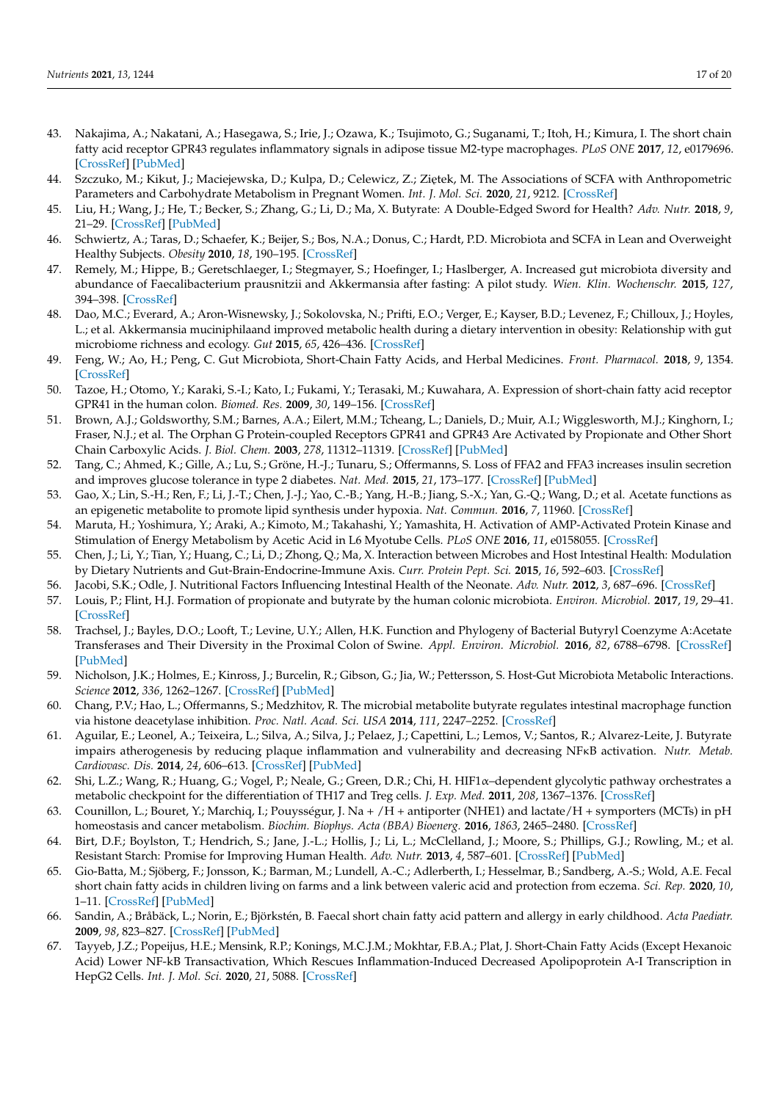- <span id="page-16-0"></span>43. Nakajima, A.; Nakatani, A.; Hasegawa, S.; Irie, J.; Ozawa, K.; Tsujimoto, G.; Suganami, T.; Itoh, H.; Kimura, I. The short chain fatty acid receptor GPR43 regulates inflammatory signals in adipose tissue M2-type macrophages. *PLoS ONE* **2017**, *12*, e0179696. [\[CrossRef\]](http://doi.org/10.1371/journal.pone.0179696) [\[PubMed\]](http://www.ncbi.nlm.nih.gov/pubmed/28692672)
- <span id="page-16-1"></span>44. Szczuko, M.; Kikut, J.; Maciejewska, D.; Kulpa, D.; Celewicz, Z.; Ziętek, M. The Associations of SCFA with Anthropometric Parameters and Carbohydrate Metabolism in Pregnant Women. *Int. J. Mol. Sci.* **2020**, *21*, 9212. [\[CrossRef\]](http://doi.org/10.3390/ijms21239212)
- <span id="page-16-2"></span>45. Liu, H.; Wang, J.; He, T.; Becker, S.; Zhang, G.; Li, D.; Ma, X. Butyrate: A Double-Edged Sword for Health? *Adv. Nutr.* **2018**, *9*, 21–29. [\[CrossRef\]](http://doi.org/10.1093/advances/nmx009) [\[PubMed\]](http://www.ncbi.nlm.nih.gov/pubmed/29438462)
- <span id="page-16-3"></span>46. Schwiertz, A.; Taras, D.; Schaefer, K.; Beijer, S.; Bos, N.A.; Donus, C.; Hardt, P.D. Microbiota and SCFA in Lean and Overweight Healthy Subjects. *Obesity* **2010**, *18*, 190–195. [\[CrossRef\]](http://doi.org/10.1038/oby.2009.167)
- <span id="page-16-4"></span>47. Remely, M.; Hippe, B.; Geretschlaeger, I.; Stegmayer, S.; Hoefinger, I.; Haslberger, A. Increased gut microbiota diversity and abundance of Faecalibacterium prausnitzii and Akkermansia after fasting: A pilot study. *Wien. Klin. Wochenschr.* **2015**, *127*, 394–398. [\[CrossRef\]](http://doi.org/10.1007/s00508-015-0755-1)
- <span id="page-16-5"></span>48. Dao, M.C.; Everard, A.; Aron-Wisnewsky, J.; Sokolovska, N.; Prifti, E.O.; Verger, E.; Kayser, B.D.; Levenez, F.; Chilloux, J.; Hoyles, L.; et al. Akkermansia muciniphilaand improved metabolic health during a dietary intervention in obesity: Relationship with gut microbiome richness and ecology. *Gut* **2015**, *65*, 426–436. [\[CrossRef\]](http://doi.org/10.1136/gutjnl-2014-308778)
- <span id="page-16-6"></span>49. Feng, W.; Ao, H.; Peng, C. Gut Microbiota, Short-Chain Fatty Acids, and Herbal Medicines. *Front. Pharmacol.* **2018**, *9*, 1354. [\[CrossRef\]](http://doi.org/10.3389/fphar.2018.01354)
- <span id="page-16-7"></span>50. Tazoe, H.; Otomo, Y.; Karaki, S.-I.; Kato, I.; Fukami, Y.; Terasaki, M.; Kuwahara, A. Expression of short-chain fatty acid receptor GPR41 in the human colon. *Biomed. Res.* **2009**, *30*, 149–156. [\[CrossRef\]](http://doi.org/10.2220/biomedres.30.149)
- <span id="page-16-8"></span>51. Brown, A.J.; Goldsworthy, S.M.; Barnes, A.A.; Eilert, M.M.; Tcheang, L.; Daniels, D.; Muir, A.I.; Wigglesworth, M.J.; Kinghorn, I.; Fraser, N.J.; et al. The Orphan G Protein-coupled Receptors GPR41 and GPR43 Are Activated by Propionate and Other Short Chain Carboxylic Acids. *J. Biol. Chem.* **2003**, *278*, 11312–11319. [\[CrossRef\]](http://doi.org/10.1074/jbc.M211609200) [\[PubMed\]](http://www.ncbi.nlm.nih.gov/pubmed/12496283)
- <span id="page-16-9"></span>52. Tang, C.; Ahmed, K.; Gille, A.; Lu, S.; Gröne, H.-J.; Tunaru, S.; Offermanns, S. Loss of FFA2 and FFA3 increases insulin secretion and improves glucose tolerance in type 2 diabetes. *Nat. Med.* **2015**, *21*, 173–177. [\[CrossRef\]](http://doi.org/10.1038/nm.3779) [\[PubMed\]](http://www.ncbi.nlm.nih.gov/pubmed/25581519)
- <span id="page-16-10"></span>53. Gao, X.; Lin, S.-H.; Ren, F.; Li, J.-T.; Chen, J.-J.; Yao, C.-B.; Yang, H.-B.; Jiang, S.-X.; Yan, G.-Q.; Wang, D.; et al. Acetate functions as an epigenetic metabolite to promote lipid synthesis under hypoxia. *Nat. Commun.* **2016**, *7*, 11960. [\[CrossRef\]](http://doi.org/10.1038/ncomms11960)
- <span id="page-16-11"></span>54. Maruta, H.; Yoshimura, Y.; Araki, A.; Kimoto, M.; Takahashi, Y.; Yamashita, H. Activation of AMP-Activated Protein Kinase and Stimulation of Energy Metabolism by Acetic Acid in L6 Myotube Cells. *PLoS ONE* **2016**, *11*, e0158055. [\[CrossRef\]](http://doi.org/10.1371/journal.pone.0158055)
- <span id="page-16-12"></span>55. Chen, J.; Li, Y.; Tian, Y.; Huang, C.; Li, D.; Zhong, Q.; Ma, X. Interaction between Microbes and Host Intestinal Health: Modulation by Dietary Nutrients and Gut-Brain-Endocrine-Immune Axis. *Curr. Protein Pept. Sci.* **2015**, *16*, 592–603. [\[CrossRef\]](http://doi.org/10.2174/1389203716666150630135720)
- <span id="page-16-13"></span>56. Jacobi, S.K.; Odle, J. Nutritional Factors Influencing Intestinal Health of the Neonate. *Adv. Nutr.* **2012**, *3*, 687–696. [\[CrossRef\]](http://doi.org/10.3945/an.112.002683)
- <span id="page-16-14"></span>57. Louis, P.; Flint, H.J. Formation of propionate and butyrate by the human colonic microbiota. *Environ. Microbiol.* **2017**, *19*, 29–41. [\[CrossRef\]](http://doi.org/10.1111/1462-2920.13589)
- <span id="page-16-15"></span>58. Trachsel, J.; Bayles, D.O.; Looft, T.; Levine, U.Y.; Allen, H.K. Function and Phylogeny of Bacterial Butyryl Coenzyme A:Acetate Transferases and Their Diversity in the Proximal Colon of Swine. *Appl. Environ. Microbiol.* **2016**, *82*, 6788–6798. [\[CrossRef\]](http://doi.org/10.1128/AEM.02307-16) [\[PubMed\]](http://www.ncbi.nlm.nih.gov/pubmed/27613689)
- <span id="page-16-16"></span>59. Nicholson, J.K.; Holmes, E.; Kinross, J.; Burcelin, R.; Gibson, G.; Jia, W.; Pettersson, S. Host-Gut Microbiota Metabolic Interactions. *Science* **2012**, *336*, 1262–1267. [\[CrossRef\]](http://doi.org/10.1126/science.1223813) [\[PubMed\]](http://www.ncbi.nlm.nih.gov/pubmed/22674330)
- <span id="page-16-17"></span>60. Chang, P.V.; Hao, L.; Offermanns, S.; Medzhitov, R. The microbial metabolite butyrate regulates intestinal macrophage function via histone deacetylase inhibition. *Proc. Natl. Acad. Sci. USA* **2014**, *111*, 2247–2252. [\[CrossRef\]](http://doi.org/10.1073/pnas.1322269111)
- <span id="page-16-18"></span>61. Aguilar, E.; Leonel, A.; Teixeira, L.; Silva, A.; Silva, J.; Pelaez, J.; Capettini, L.; Lemos, V.; Santos, R.; Alvarez-Leite, J. Butyrate impairs atherogenesis by reducing plaque inflammation and vulnerability and decreasing NFκB activation. *Nutr. Metab. Cardiovasc. Dis.* **2014**, *24*, 606–613. [\[CrossRef\]](http://doi.org/10.1016/j.numecd.2014.01.002) [\[PubMed\]](http://www.ncbi.nlm.nih.gov/pubmed/24602606)
- <span id="page-16-19"></span>62. Shi, L.Z.; Wang, R.; Huang, G.; Vogel, P.; Neale, G.; Green, D.R.; Chi, H. HIF1α–dependent glycolytic pathway orchestrates a metabolic checkpoint for the differentiation of TH17 and Treg cells. *J. Exp. Med.* **2011**, *208*, 1367–1376. [\[CrossRef\]](http://doi.org/10.1084/jem.20110278)
- <span id="page-16-20"></span>63. Counillon, L.; Bouret, Y.; Marchiq, I.; Pouysségur, J. Na + /H + antiporter (NHE1) and lactate/H + symporters (MCTs) in pH homeostasis and cancer metabolism. *Biochim. Biophys. Acta (BBA) Bioenerg.* **2016**, *1863*, 2465–2480. [\[CrossRef\]](http://doi.org/10.1016/j.bbamcr.2016.02.018)
- <span id="page-16-21"></span>64. Birt, D.F.; Boylston, T.; Hendrich, S.; Jane, J.-L.; Hollis, J.; Li, L.; McClelland, J.; Moore, S.; Phillips, G.J.; Rowling, M.; et al. Resistant Starch: Promise for Improving Human Health. *Adv. Nutr.* **2013**, *4*, 587–601. [\[CrossRef\]](http://doi.org/10.3945/an.113.004325) [\[PubMed\]](http://www.ncbi.nlm.nih.gov/pubmed/24228189)
- <span id="page-16-22"></span>65. Gio-Batta, M.; Sjöberg, F.; Jonsson, K.; Barman, M.; Lundell, A.-C.; Adlerberth, I.; Hesselmar, B.; Sandberg, A.-S.; Wold, A.E. Fecal short chain fatty acids in children living on farms and a link between valeric acid and protection from eczema. *Sci. Rep.* **2020**, *10*, 1–11. [\[CrossRef\]](http://doi.org/10.1038/s41598-020-79737-6) [\[PubMed\]](http://www.ncbi.nlm.nih.gov/pubmed/33384449)
- <span id="page-16-23"></span>66. Sandin, A.; Bråbäck, L.; Norin, E.; Björkstén, B. Faecal short chain fatty acid pattern and allergy in early childhood. *Acta Paediatr.* **2009**, *98*, 823–827. [\[CrossRef\]](http://doi.org/10.1111/j.1651-2227.2008.01215.x) [\[PubMed\]](http://www.ncbi.nlm.nih.gov/pubmed/19173682)
- <span id="page-16-24"></span>67. Tayyeb, J.Z.; Popeijus, H.E.; Mensink, R.P.; Konings, M.C.J.M.; Mokhtar, F.B.A.; Plat, J. Short-Chain Fatty Acids (Except Hexanoic Acid) Lower NF-kB Transactivation, Which Rescues Inflammation-Induced Decreased Apolipoprotein A-I Transcription in HepG2 Cells. *Int. J. Mol. Sci.* **2020**, *21*, 5088. [\[CrossRef\]](http://doi.org/10.3390/ijms21145088)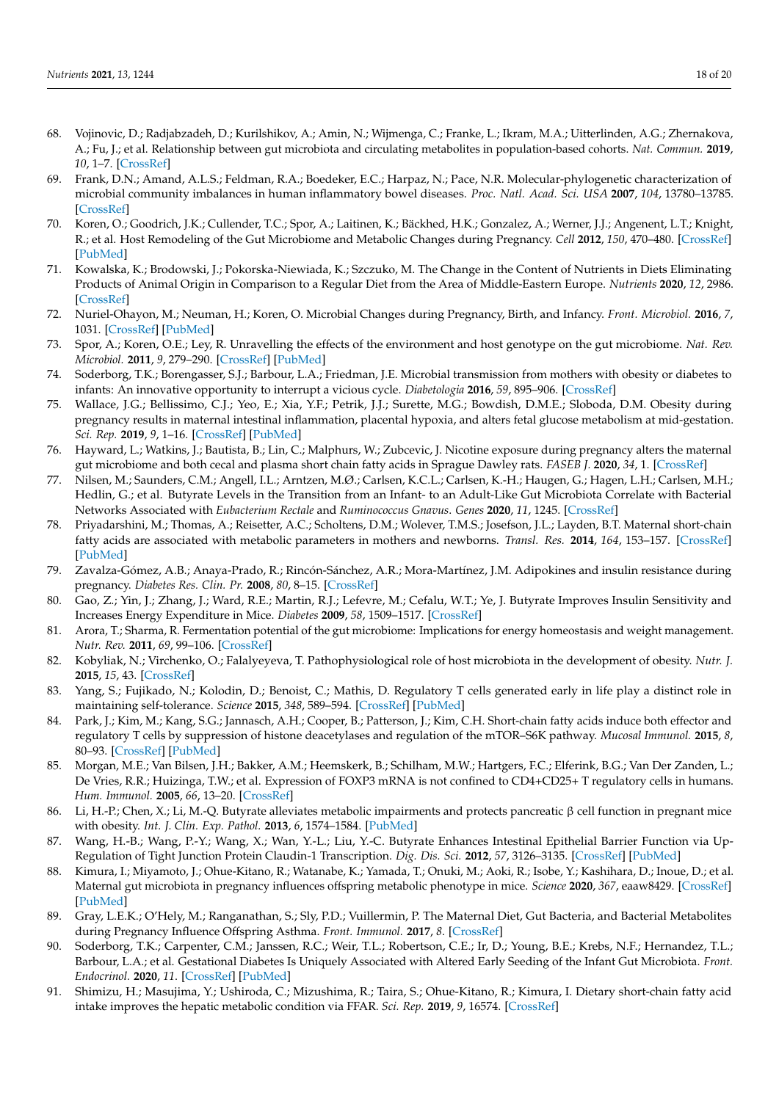- <span id="page-17-0"></span>68. Vojinovic, D.; Radjabzadeh, D.; Kurilshikov, A.; Amin, N.; Wijmenga, C.; Franke, L.; Ikram, M.A.; Uitterlinden, A.G.; Zhernakova, A.; Fu, J.; et al. Relationship between gut microbiota and circulating metabolites in population-based cohorts. *Nat. Commun.* **2019**, *10*, 1–7. [\[CrossRef\]](http://doi.org/10.1038/s41467-019-13721-1)
- <span id="page-17-1"></span>69. Frank, D.N.; Amand, A.L.S.; Feldman, R.A.; Boedeker, E.C.; Harpaz, N.; Pace, N.R. Molecular-phylogenetic characterization of microbial community imbalances in human inflammatory bowel diseases. *Proc. Natl. Acad. Sci. USA* **2007**, *104*, 13780–13785. [\[CrossRef\]](http://doi.org/10.1073/pnas.0706625104)
- <span id="page-17-2"></span>70. Koren, O.; Goodrich, J.K.; Cullender, T.C.; Spor, A.; Laitinen, K.; Bäckhed, H.K.; Gonzalez, A.; Werner, J.J.; Angenent, L.T.; Knight, R.; et al. Host Remodeling of the Gut Microbiome and Metabolic Changes during Pregnancy. *Cell* **2012**, *150*, 470–480. [\[CrossRef\]](http://doi.org/10.1016/j.cell.2012.07.008) [\[PubMed\]](http://www.ncbi.nlm.nih.gov/pubmed/22863002)
- <span id="page-17-3"></span>71. Kowalska, K.; Brodowski, J.; Pokorska-Niewiada, K.; Szczuko, M. The Change in the Content of Nutrients in Diets Eliminating Products of Animal Origin in Comparison to a Regular Diet from the Area of Middle-Eastern Europe. *Nutrients* **2020**, *12*, 2986. [\[CrossRef\]](http://doi.org/10.3390/nu12102986)
- <span id="page-17-4"></span>72. Nuriel-Ohayon, M.; Neuman, H.; Koren, O. Microbial Changes during Pregnancy, Birth, and Infancy. *Front. Microbiol.* **2016**, *7*, 1031. [\[CrossRef\]](http://doi.org/10.3389/fmicb.2016.01031) [\[PubMed\]](http://www.ncbi.nlm.nih.gov/pubmed/27471494)
- <span id="page-17-5"></span>73. Spor, A.; Koren, O.E.; Ley, R. Unravelling the effects of the environment and host genotype on the gut microbiome. *Nat. Rev. Microbiol.* **2011**, *9*, 279–290. [\[CrossRef\]](http://doi.org/10.1038/nrmicro2540) [\[PubMed\]](http://www.ncbi.nlm.nih.gov/pubmed/21407244)
- <span id="page-17-6"></span>74. Soderborg, T.K.; Borengasser, S.J.; Barbour, L.A.; Friedman, J.E. Microbial transmission from mothers with obesity or diabetes to infants: An innovative opportunity to interrupt a vicious cycle. *Diabetologia* **2016**, *59*, 895–906. [\[CrossRef\]](http://doi.org/10.1007/s00125-016-3880-0)
- <span id="page-17-7"></span>75. Wallace, J.G.; Bellissimo, C.J.; Yeo, E.; Xia, Y.F.; Petrik, J.J.; Surette, M.G.; Bowdish, D.M.E.; Sloboda, D.M. Obesity during pregnancy results in maternal intestinal inflammation, placental hypoxia, and alters fetal glucose metabolism at mid-gestation. *Sci. Rep.* **2019**, *9*, 1–16. [\[CrossRef\]](http://doi.org/10.1038/s41598-019-54098-x) [\[PubMed\]](http://www.ncbi.nlm.nih.gov/pubmed/31772245)
- <span id="page-17-8"></span>76. Hayward, L.; Watkins, J.; Bautista, B.; Lin, C.; Malphurs, W.; Zubcevic, J. Nicotine exposure during pregnancy alters the maternal gut microbiome and both cecal and plasma short chain fatty acids in Sprague Dawley rats. *FASEB J.* **2020**, *34*, 1. [\[CrossRef\]](http://doi.org/10.1096/fasebj.2020.34.s1.03967)
- <span id="page-17-9"></span>77. Nilsen, M.; Saunders, C.M.; Angell, I.L.; Arntzen, M.Ø.; Carlsen, K.C.L.; Carlsen, K.-H.; Haugen, G.; Hagen, L.H.; Carlsen, M.H.; Hedlin, G.; et al. Butyrate Levels in the Transition from an Infant- to an Adult-Like Gut Microbiota Correlate with Bacterial Networks Associated with *Eubacterium Rectale* and *Ruminococcus Gnavus*. *Genes* **2020**, *11*, 1245. [\[CrossRef\]](http://doi.org/10.3390/genes11111245)
- <span id="page-17-10"></span>78. Priyadarshini, M.; Thomas, A.; Reisetter, A.C.; Scholtens, D.M.; Wolever, T.M.S.; Josefson, J.L.; Layden, B.T. Maternal short-chain fatty acids are associated with metabolic parameters in mothers and newborns. *Transl. Res.* **2014**, *164*, 153–157. [\[CrossRef\]](http://doi.org/10.1016/j.trsl.2014.01.012) [\[PubMed\]](http://www.ncbi.nlm.nih.gov/pubmed/24530607)
- <span id="page-17-11"></span>79. Zavalza-Gómez, A.B.; Anaya-Prado, R.; Rincón-Sánchez, A.R.; Mora-Martínez, J.M. Adipokines and insulin resistance during pregnancy. *Diabetes Res. Clin. Pr.* **2008**, *80*, 8–15. [\[CrossRef\]](http://doi.org/10.1016/j.diabres.2007.12.012)
- <span id="page-17-12"></span>80. Gao, Z.; Yin, J.; Zhang, J.; Ward, R.E.; Martin, R.J.; Lefevre, M.; Cefalu, W.T.; Ye, J. Butyrate Improves Insulin Sensitivity and Increases Energy Expenditure in Mice. *Diabetes* **2009**, *58*, 1509–1517. [\[CrossRef\]](http://doi.org/10.2337/db08-1637)
- <span id="page-17-13"></span>81. Arora, T.; Sharma, R. Fermentation potential of the gut microbiome: Implications for energy homeostasis and weight management. *Nutr. Rev.* **2011**, *69*, 99–106. [\[CrossRef\]](http://doi.org/10.1111/j.1753-4887.2010.00365.x)
- <span id="page-17-14"></span>82. Kobyliak, N.; Virchenko, O.; Falalyeyeva, T. Pathophysiological role of host microbiota in the development of obesity. *Nutr. J.* **2015**, *15*, 43. [\[CrossRef\]](http://doi.org/10.1186/s12937-016-0166-9)
- <span id="page-17-15"></span>83. Yang, S.; Fujikado, N.; Kolodin, D.; Benoist, C.; Mathis, D. Regulatory T cells generated early in life play a distinct role in maintaining self-tolerance. *Science* **2015**, *348*, 589–594. [\[CrossRef\]](http://doi.org/10.1126/science.aaa7017) [\[PubMed\]](http://www.ncbi.nlm.nih.gov/pubmed/25791085)
- <span id="page-17-16"></span>84. Park, J.; Kim, M.; Kang, S.G.; Jannasch, A.H.; Cooper, B.; Patterson, J.; Kim, C.H. Short-chain fatty acids induce both effector and regulatory T cells by suppression of histone deacetylases and regulation of the mTOR–S6K pathway. *Mucosal Immunol.* **2015**, *8*, 80–93. [\[CrossRef\]](http://doi.org/10.1038/mi.2014.44) [\[PubMed\]](http://www.ncbi.nlm.nih.gov/pubmed/24917457)
- <span id="page-17-17"></span>85. Morgan, M.E.; Van Bilsen, J.H.; Bakker, A.M.; Heemskerk, B.; Schilham, M.W.; Hartgers, F.C.; Elferink, B.G.; Van Der Zanden, L.; De Vries, R.R.; Huizinga, T.W.; et al. Expression of FOXP3 mRNA is not confined to CD4+CD25+ T regulatory cells in humans. *Hum. Immunol.* **2005**, *66*, 13–20. [\[CrossRef\]](http://doi.org/10.1016/j.humimm.2004.05.016)
- <span id="page-17-18"></span>86. Li, H.-P.; Chen, X.; Li, M.-Q. Butyrate alleviates metabolic impairments and protects pancreatic β cell function in pregnant mice with obesity. *Int. J. Clin. Exp. Pathol.* **2013**, *6*, 1574–1584. [\[PubMed\]](http://www.ncbi.nlm.nih.gov/pubmed/23923076)
- <span id="page-17-19"></span>87. Wang, H.-B.; Wang, P.-Y.; Wang, X.; Wan, Y.-L.; Liu, Y.-C. Butyrate Enhances Intestinal Epithelial Barrier Function via Up-Regulation of Tight Junction Protein Claudin-1 Transcription. *Dig. Dis. Sci.* **2012**, *57*, 3126–3135. [\[CrossRef\]](http://doi.org/10.1007/s10620-012-2259-4) [\[PubMed\]](http://www.ncbi.nlm.nih.gov/pubmed/22684624)
- <span id="page-17-20"></span>88. Kimura, I.; Miyamoto, J.; Ohue-Kitano, R.; Watanabe, K.; Yamada, T.; Onuki, M.; Aoki, R.; Isobe, Y.; Kashihara, D.; Inoue, D.; et al. Maternal gut microbiota in pregnancy influences offspring metabolic phenotype in mice. *Science* **2020**, *367*, eaaw8429. [\[CrossRef\]](http://doi.org/10.1126/science.aaw8429) [\[PubMed\]](http://www.ncbi.nlm.nih.gov/pubmed/32108090)
- <span id="page-17-21"></span>89. Gray, L.E.K.; O'Hely, M.; Ranganathan, S.; Sly, P.D.; Vuillermin, P. The Maternal Diet, Gut Bacteria, and Bacterial Metabolites during Pregnancy Influence Offspring Asthma. *Front. Immunol.* **2017**, *8*. [\[CrossRef\]](http://doi.org/10.3389/fimmu.2017.00365)
- <span id="page-17-22"></span>90. Soderborg, T.K.; Carpenter, C.M.; Janssen, R.C.; Weir, T.L.; Robertson, C.E.; Ir, D.; Young, B.E.; Krebs, N.F.; Hernandez, T.L.; Barbour, L.A.; et al. Gestational Diabetes Is Uniquely Associated with Altered Early Seeding of the Infant Gut Microbiota. *Front. Endocrinol.* **2020**, *11*. [\[CrossRef\]](http://doi.org/10.3389/fendo.2020.603021) [\[PubMed\]](http://www.ncbi.nlm.nih.gov/pubmed/33329403)
- <span id="page-17-23"></span>91. Shimizu, H.; Masujima, Y.; Ushiroda, C.; Mizushima, R.; Taira, S.; Ohue-Kitano, R.; Kimura, I. Dietary short-chain fatty acid intake improves the hepatic metabolic condition via FFAR. *Sci. Rep.* **2019**, *9*, 16574. [\[CrossRef\]](http://doi.org/10.1038/s41598-019-53242-x)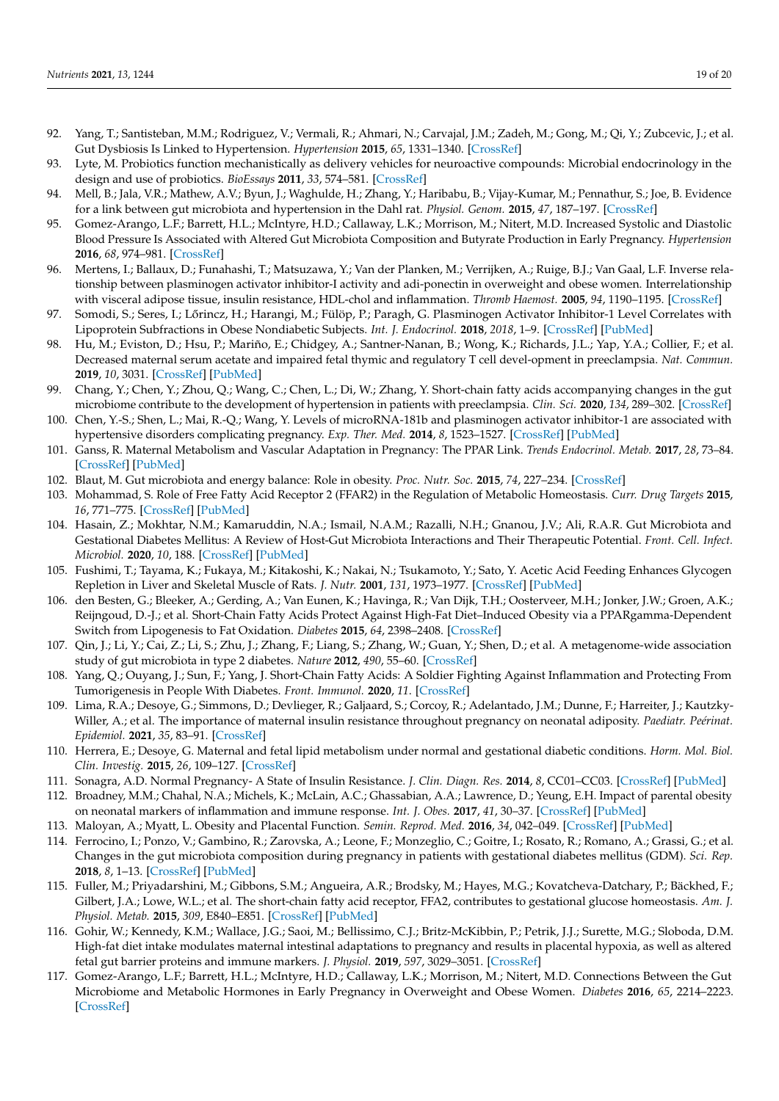- <span id="page-18-0"></span>92. Yang, T.; Santisteban, M.M.; Rodriguez, V.; Vermali, R.; Ahmari, N.; Carvajal, J.M.; Zadeh, M.; Gong, M.; Qi, Y.; Zubcevic, J.; et al. Gut Dysbiosis Is Linked to Hypertension. *Hypertension* **2015**, *65*, 1331–1340. [\[CrossRef\]](http://doi.org/10.1161/HYPERTENSIONAHA.115.05315)
- <span id="page-18-1"></span>93. Lyte, M. Probiotics function mechanistically as delivery vehicles for neuroactive compounds: Microbial endocrinology in the design and use of probiotics. *BioEssays* **2011**, *33*, 574–581. [\[CrossRef\]](http://doi.org/10.1002/bies.201100024)
- <span id="page-18-2"></span>94. Mell, B.; Jala, V.R.; Mathew, A.V.; Byun, J.; Waghulde, H.; Zhang, Y.; Haribabu, B.; Vijay-Kumar, M.; Pennathur, S.; Joe, B. Evidence for a link between gut microbiota and hypertension in the Dahl rat. *Physiol. Genom.* **2015**, *47*, 187–197. [\[CrossRef\]](http://doi.org/10.1152/physiolgenomics.00136.2014)
- <span id="page-18-3"></span>95. Gomez-Arango, L.F.; Barrett, H.L.; McIntyre, H.D.; Callaway, L.K.; Morrison, M.; Nitert, M.D. Increased Systolic and Diastolic Blood Pressure Is Associated with Altered Gut Microbiota Composition and Butyrate Production in Early Pregnancy. *Hypertension* **2016**, *68*, 974–981. [\[CrossRef\]](http://doi.org/10.1161/HYPERTENSIONAHA.116.07910)
- <span id="page-18-4"></span>96. Mertens, I.; Ballaux, D.; Funahashi, T.; Matsuzawa, Y.; Van der Planken, M.; Verrijken, A.; Ruige, B.J.; Van Gaal, L.F. Inverse relationship between plasminogen activator inhibitor-I activity and adi-ponectin in overweight and obese women. Interrelationship with visceral adipose tissue, insulin resistance, HDL-chol and inflammation. *Thromb Haemost.* **2005**, *94*, 1190–1195. [\[CrossRef\]](http://doi.org/10.1160/TH05-01-0024)
- <span id="page-18-5"></span>97. Somodi, S.; Seres, I.; Lőrincz, H.; Harangi, M.; Fülöp, P.; Paragh, G. Plasminogen Activator Inhibitor-1 Level Correlates with Lipoprotein Subfractions in Obese Nondiabetic Subjects. *Int. J. Endocrinol.* **2018**, *2018*, 1–9. [\[CrossRef\]](http://doi.org/10.1155/2018/9596054) [\[PubMed\]](http://www.ncbi.nlm.nih.gov/pubmed/30002679)
- <span id="page-18-6"></span>98. Hu, M.; Eviston, D.; Hsu, P.; Mariño, E.; Chidgey, A.; Santner-Nanan, B.; Wong, K.; Richards, J.L.; Yap, Y.A.; Collier, F.; et al. Decreased maternal serum acetate and impaired fetal thymic and regulatory T cell devel-opment in preeclampsia. *Nat. Commun.* **2019**, *10*, 3031. [\[CrossRef\]](http://doi.org/10.1038/s41467-019-10703-1) [\[PubMed\]](http://www.ncbi.nlm.nih.gov/pubmed/31292453)
- <span id="page-18-7"></span>99. Chang, Y.; Chen, Y.; Zhou, Q.; Wang, C.; Chen, L.; Di, W.; Zhang, Y. Short-chain fatty acids accompanying changes in the gut microbiome contribute to the development of hypertension in patients with preeclampsia. *Clin. Sci.* **2020**, *134*, 289–302. [\[CrossRef\]](http://doi.org/10.1042/CS20191253)
- <span id="page-18-8"></span>100. Chen, Y.-S.; Shen, L.; Mai, R.-Q.; Wang, Y. Levels of microRNA-181b and plasminogen activator inhibitor-1 are associated with hypertensive disorders complicating pregnancy. *Exp. Ther. Med.* **2014**, *8*, 1523–1527. [\[CrossRef\]](http://doi.org/10.3892/etm.2014.1946) [\[PubMed\]](http://www.ncbi.nlm.nih.gov/pubmed/25289053)
- <span id="page-18-9"></span>101. Ganss, R. Maternal Metabolism and Vascular Adaptation in Pregnancy: The PPAR Link. *Trends Endocrinol. Metab.* **2017**, *28*, 73–84. [\[CrossRef\]](http://doi.org/10.1016/j.tem.2016.09.004) [\[PubMed\]](http://www.ncbi.nlm.nih.gov/pubmed/27789100)
- <span id="page-18-10"></span>102. Blaut, M. Gut microbiota and energy balance: Role in obesity. *Proc. Nutr. Soc.* **2015**, *74*, 227–234. [\[CrossRef\]](http://doi.org/10.1017/S0029665114001700)
- <span id="page-18-11"></span>103. Mohammad, S. Role of Free Fatty Acid Receptor 2 (FFAR2) in the Regulation of Metabolic Homeostasis. *Curr. Drug Targets* **2015**, *16*, 771–775. [\[CrossRef\]](http://doi.org/10.2174/1389450116666150408103557) [\[PubMed\]](http://www.ncbi.nlm.nih.gov/pubmed/25850624)
- <span id="page-18-12"></span>104. Hasain, Z.; Mokhtar, N.M.; Kamaruddin, N.A.; Ismail, N.A.M.; Razalli, N.H.; Gnanou, J.V.; Ali, R.A.R. Gut Microbiota and Gestational Diabetes Mellitus: A Review of Host-Gut Microbiota Interactions and Their Therapeutic Potential. *Front. Cell. Infect. Microbiol.* **2020**, *10*, 188. [\[CrossRef\]](http://doi.org/10.3389/fcimb.2020.00188) [\[PubMed\]](http://www.ncbi.nlm.nih.gov/pubmed/32500037)
- <span id="page-18-13"></span>105. Fushimi, T.; Tayama, K.; Fukaya, M.; Kitakoshi, K.; Nakai, N.; Tsukamoto, Y.; Sato, Y. Acetic Acid Feeding Enhances Glycogen Repletion in Liver and Skeletal Muscle of Rats. *J. Nutr.* **2001**, *131*, 1973–1977. [\[CrossRef\]](http://doi.org/10.1093/jn/131.7.1973) [\[PubMed\]](http://www.ncbi.nlm.nih.gov/pubmed/11435516)
- <span id="page-18-14"></span>106. den Besten, G.; Bleeker, A.; Gerding, A.; Van Eunen, K.; Havinga, R.; Van Dijk, T.H.; Oosterveer, M.H.; Jonker, J.W.; Groen, A.K.; Reijngoud, D.-J.; et al. Short-Chain Fatty Acids Protect Against High-Fat Diet–Induced Obesity via a PPARgamma-Dependent Switch from Lipogenesis to Fat Oxidation. *Diabetes* **2015**, *64*, 2398–2408. [\[CrossRef\]](http://doi.org/10.2337/db14-1213)
- <span id="page-18-15"></span>107. Qin, J.; Li, Y.; Cai, Z.; Li, S.; Zhu, J.; Zhang, F.; Liang, S.; Zhang, W.; Guan, Y.; Shen, D.; et al. A metagenome-wide association study of gut microbiota in type 2 diabetes. *Nature* **2012**, *490*, 55–60. [\[CrossRef\]](http://doi.org/10.1038/nature11450)
- <span id="page-18-16"></span>108. Yang, Q.; Ouyang, J.; Sun, F.; Yang, J. Short-Chain Fatty Acids: A Soldier Fighting Against Inflammation and Protecting From Tumorigenesis in People With Diabetes. *Front. Immunol.* **2020**, *11*. [\[CrossRef\]](http://doi.org/10.3389/fimmu.2020.590685)
- <span id="page-18-17"></span>109. Lima, R.A.; Desoye, G.; Simmons, D.; Devlieger, R.; Galjaard, S.; Corcoy, R.; Adelantado, J.M.; Dunne, F.; Harreiter, J.; Kautzky-Willer, A.; et al. The importance of maternal insulin resistance throughout pregnancy on neonatal adiposity. *Paediatr. Peérinat. Epidemiol.* **2021**, *35*, 83–91. [\[CrossRef\]](http://doi.org/10.1111/ppe.12682)
- <span id="page-18-18"></span>110. Herrera, E.; Desoye, G. Maternal and fetal lipid metabolism under normal and gestational diabetic conditions. *Horm. Mol. Biol. Clin. Investig.* **2015**, *26*, 109–127. [\[CrossRef\]](http://doi.org/10.1515/hmbci-2015-0025)
- <span id="page-18-19"></span>111. Sonagra, A.D. Normal Pregnancy- A State of Insulin Resistance. *J. Clin. Diagn. Res.* **2014**, *8*, CC01–CC03. [\[CrossRef\]](http://doi.org/10.7860/JCDR/2014/10068.5081) [\[PubMed\]](http://www.ncbi.nlm.nih.gov/pubmed/25584208)
- <span id="page-18-20"></span>112. Broadney, M.M.; Chahal, N.A.; Michels, K.; McLain, A.C.; Ghassabian, A.A.; Lawrence, D.; Yeung, E.H. Impact of parental obesity on neonatal markers of inflammation and immune response. *Int. J. Obes.* **2017**, *41*, 30–37. [\[CrossRef\]](http://doi.org/10.1038/ijo.2016.187) [\[PubMed\]](http://www.ncbi.nlm.nih.gov/pubmed/27780976)
- <span id="page-18-21"></span>113. Maloyan, A.; Myatt, L. Obesity and Placental Function. *Semin. Reprod. Med.* **2016**, *34*, 042–049. [\[CrossRef\]](http://doi.org/10.1055/s-0035-1570027) [\[PubMed\]](http://www.ncbi.nlm.nih.gov/pubmed/26734917)
- <span id="page-18-22"></span>114. Ferrocino, I.; Ponzo, V.; Gambino, R.; Zarovska, A.; Leone, F.; Monzeglio, C.; Goitre, I.; Rosato, R.; Romano, A.; Grassi, G.; et al. Changes in the gut microbiota composition during pregnancy in patients with gestational diabetes mellitus (GDM). *Sci. Rep.* **2018**, *8*, 1–13. [\[CrossRef\]](http://doi.org/10.1038/s41598-018-30735-9) [\[PubMed\]](http://www.ncbi.nlm.nih.gov/pubmed/30111822)
- <span id="page-18-23"></span>115. Fuller, M.; Priyadarshini, M.; Gibbons, S.M.; Angueira, A.R.; Brodsky, M.; Hayes, M.G.; Kovatcheva-Datchary, P.; Bäckhed, F.; Gilbert, J.A.; Lowe, W.L.; et al. The short-chain fatty acid receptor, FFA2, contributes to gestational glucose homeostasis. *Am. J. Physiol. Metab.* **2015**, *309*, E840–E851. [\[CrossRef\]](http://doi.org/10.1152/ajpendo.00171.2015) [\[PubMed\]](http://www.ncbi.nlm.nih.gov/pubmed/26394664)
- <span id="page-18-24"></span>116. Gohir, W.; Kennedy, K.M.; Wallace, J.G.; Saoi, M.; Bellissimo, C.J.; Britz-McKibbin, P.; Petrik, J.J.; Surette, M.G.; Sloboda, D.M. High-fat diet intake modulates maternal intestinal adaptations to pregnancy and results in placental hypoxia, as well as altered fetal gut barrier proteins and immune markers. *J. Physiol.* **2019**, *597*, 3029–3051. [\[CrossRef\]](http://doi.org/10.1113/JP277353)
- <span id="page-18-25"></span>117. Gomez-Arango, L.F.; Barrett, H.L.; McIntyre, H.D.; Callaway, L.K.; Morrison, M.; Nitert, M.D. Connections Between the Gut Microbiome and Metabolic Hormones in Early Pregnancy in Overweight and Obese Women. *Diabetes* **2016**, *65*, 2214–2223. [\[CrossRef\]](http://doi.org/10.2337/db16-0278)